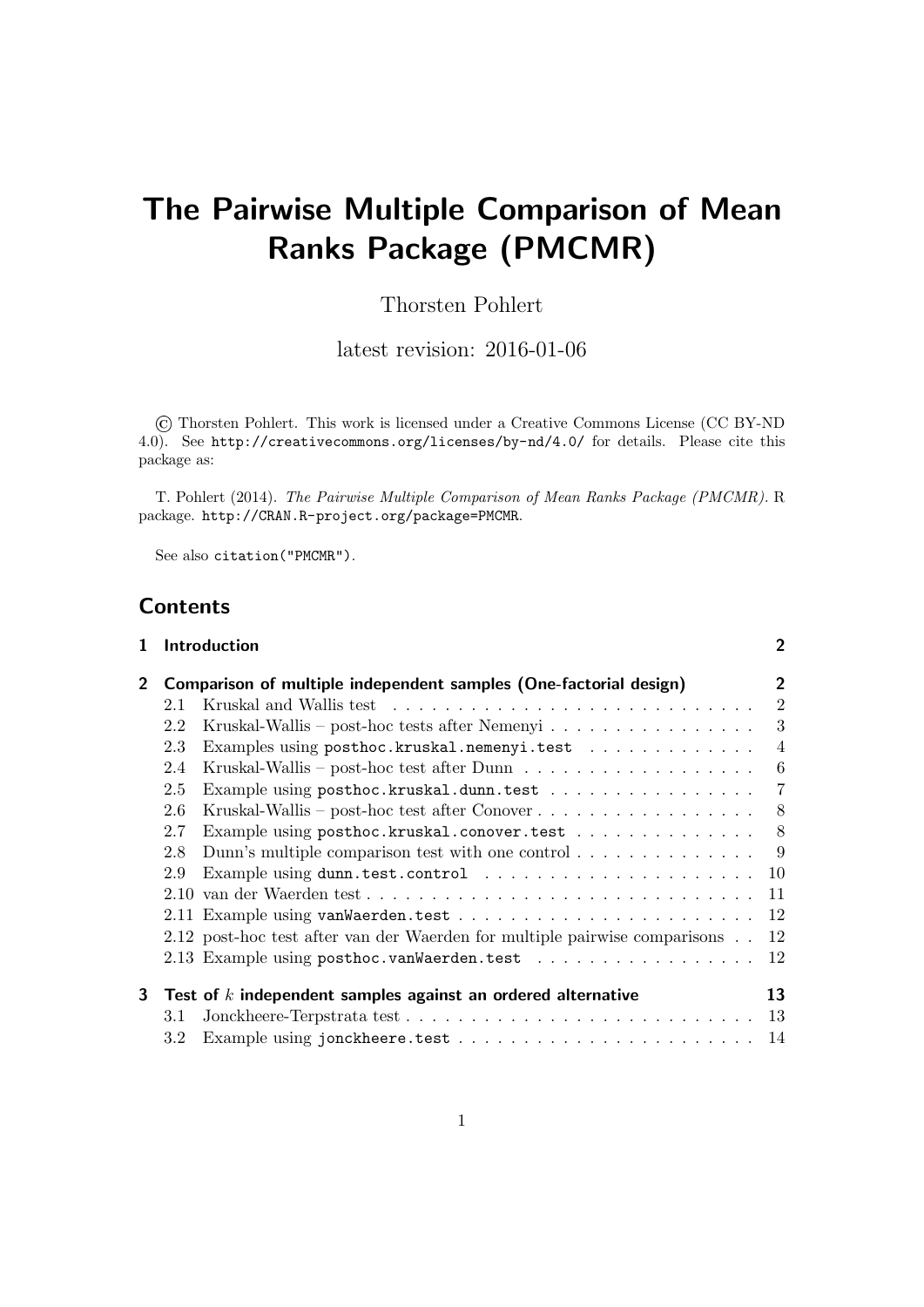# The Pairwise Multiple Comparison of Mean Ranks Package (PMCMR)

# Thorsten Pohlert

latest revision: 2016-01-06

© Thorsten Pohlert. This work is licensed under a Creative Commons License (CC BY-ND 4.0). See http://creativecommons.org/licenses/by-nd/4.0/ for details. Please cite this package as:

T. Pohlert (2014). The Pairwise Multiple Comparison of Mean Ranks Package (PMCMR). R package. http://CRAN.R-project.org/package=PMCMR.

See also citation("PMCMR").

# **Contents**

| 1            |                  | Introduction                                                                          | $\mathbf{2}$   |
|--------------|------------------|---------------------------------------------------------------------------------------|----------------|
| $\mathbf{2}$ |                  | Comparison of multiple independent samples (One-factorial design)                     | 2              |
|              | 2.1              |                                                                                       | $\overline{2}$ |
|              | 2.2              | Kruskal-Wallis – post-hoc tests after Nemenyi                                         | 3              |
|              | 2.3              | Examples using posthoc.kruskal.nemenyi.test                                           | $\overline{4}$ |
|              | 2.4              | Kruskal-Wallis – post-hoc test after $Dunn \dots \dots \dots \dots \dots \dots \dots$ | 6              |
|              | 2.5              | Example using posthoc.kruskal.dunn.test                                               | 7              |
|              | 2.6              |                                                                                       | 8 <sup>8</sup> |
|              | 2.7              | Example using posthoc.kruskal.conover.test                                            | 8 <sup>8</sup> |
|              | 2.8              | Dunn's multiple comparison test with one control $\dots \dots \dots \dots$            |                |
|              | 2.9              |                                                                                       |                |
|              |                  | 2.10 van der Waerden test                                                             | 11             |
|              |                  |                                                                                       | 12             |
|              |                  | 2.12 post-hoc test after van der Waerden for multiple pairwise comparisons            | 12             |
|              |                  |                                                                                       | 12             |
| 3            |                  | Test of $k$ independent samples against an ordered alternative                        | 13             |
|              | 3.1              |                                                                                       |                |
|              | $3.2\phantom{0}$ |                                                                                       |                |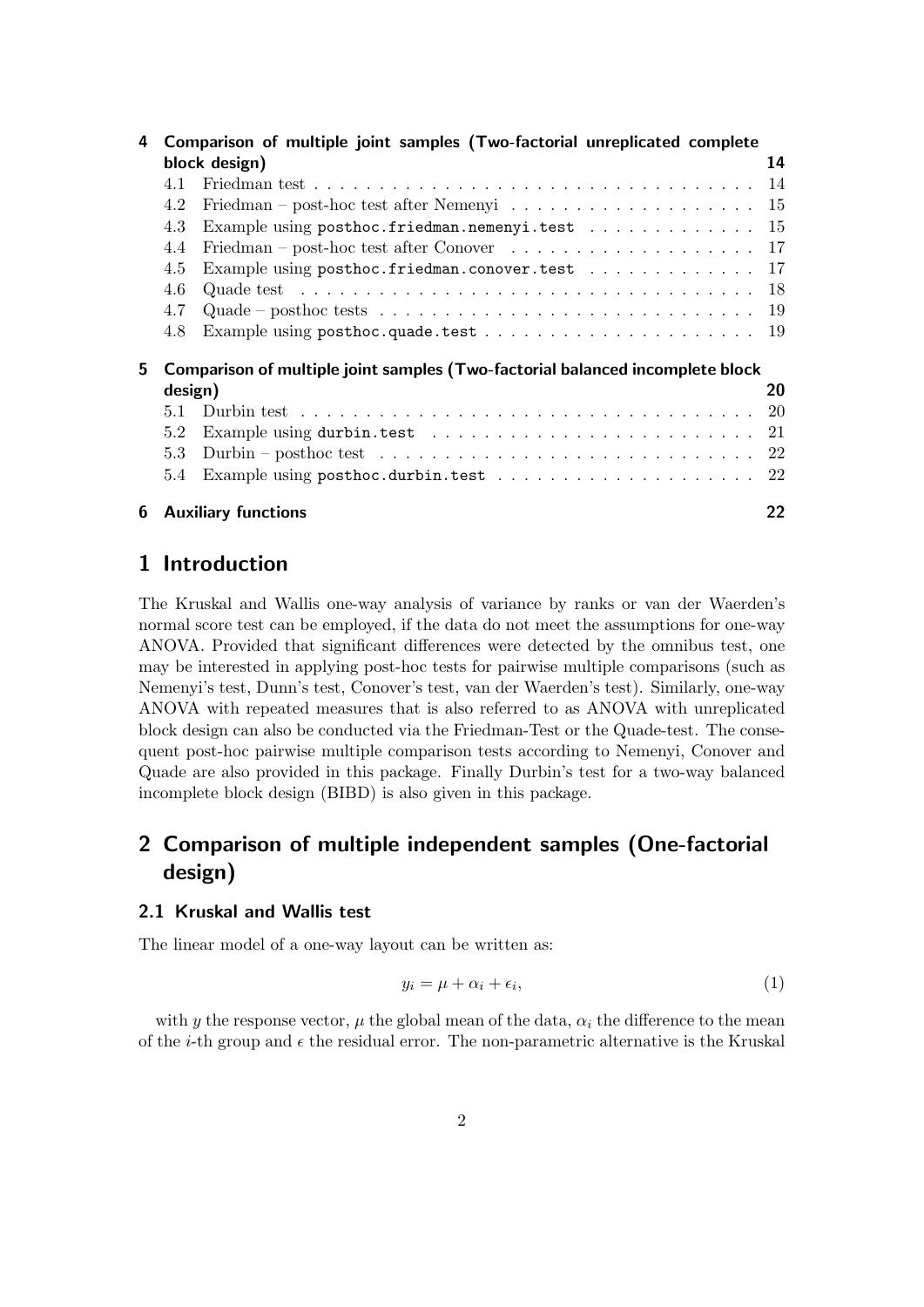| 4  |                                                                               | Comparison of multiple joint samples (Two-factorial unreplicated complete                         |    |  |  |  |
|----|-------------------------------------------------------------------------------|---------------------------------------------------------------------------------------------------|----|--|--|--|
|    | block design)                                                                 |                                                                                                   |    |  |  |  |
|    | 4.1                                                                           |                                                                                                   |    |  |  |  |
|    | 4.2                                                                           | Friedman – post-hoc test after Nemenyi $\dots \dots \dots \dots \dots \dots \dots \dots \dots$ 15 |    |  |  |  |
|    | 4.3                                                                           | Example using posthoc.friedman.nemenyi.test 15                                                    |    |  |  |  |
|    | 4.4                                                                           | Friedman – post-hoc test after Conover $\ldots \ldots \ldots \ldots \ldots \ldots \ldots 17$      |    |  |  |  |
|    | 4.5                                                                           | Example using posthoc.friedman.conover.test 17                                                    |    |  |  |  |
|    | 4.6                                                                           | Quade test $\ldots \ldots \ldots \ldots \ldots \ldots \ldots \ldots \ldots \ldots \ldots \ldots$  |    |  |  |  |
|    | 4.7                                                                           |                                                                                                   |    |  |  |  |
|    | 4.8                                                                           |                                                                                                   |    |  |  |  |
| 5. | Comparison of multiple joint samples (Two-factorial balanced incomplete block |                                                                                                   |    |  |  |  |
|    | design)                                                                       |                                                                                                   | 20 |  |  |  |
|    | 5.1                                                                           |                                                                                                   |    |  |  |  |
|    | 5.2                                                                           | Example using durbin.test $\ldots \ldots \ldots \ldots \ldots \ldots \ldots \ldots \ldots 21$     |    |  |  |  |
|    | 5.3                                                                           |                                                                                                   |    |  |  |  |
|    | $5.4^{\circ}$                                                                 |                                                                                                   |    |  |  |  |
| 6  |                                                                               | <b>Auxiliary functions</b>                                                                        | 22 |  |  |  |

# 1 Introduction

The Kruskal and Wallis one-way analysis of variance by ranks or van der Waerden's normal score test can be employed, if the data do not meet the assumptions for one-way ANOVA. Provided that significant differences were detected by the omnibus test, one may be interested in applying post-hoc tests for pairwise multiple comparisons (such as Nemenyi's test, Dunn's test, Conover's test, van der Waerden's test). Similarly, one-way ANOVA with repeated measures that is also referred to as ANOVA with unreplicated block design can also be conducted via the Friedman-Test or the Quade-test. The consequent post-hoc pairwise multiple comparison tests according to Nemenyi, Conover and Quade are also provided in this package. Finally Durbin's test for a two-way balanced incomplete block design (BIBD) is also given in this package.

# 2 Comparison of multiple independent samples (One-factorial design)

### 2.1 Kruskal and Wallis test

The linear model of a one-way layout can be written as:

$$
y_i = \mu + \alpha_i + \epsilon_i, \tag{1}
$$

with y the response vector,  $\mu$  the global mean of the data,  $\alpha_i$  the difference to the mean of the *i*-th group and  $\epsilon$  the residual error. The non-parametric alternative is the Kruskal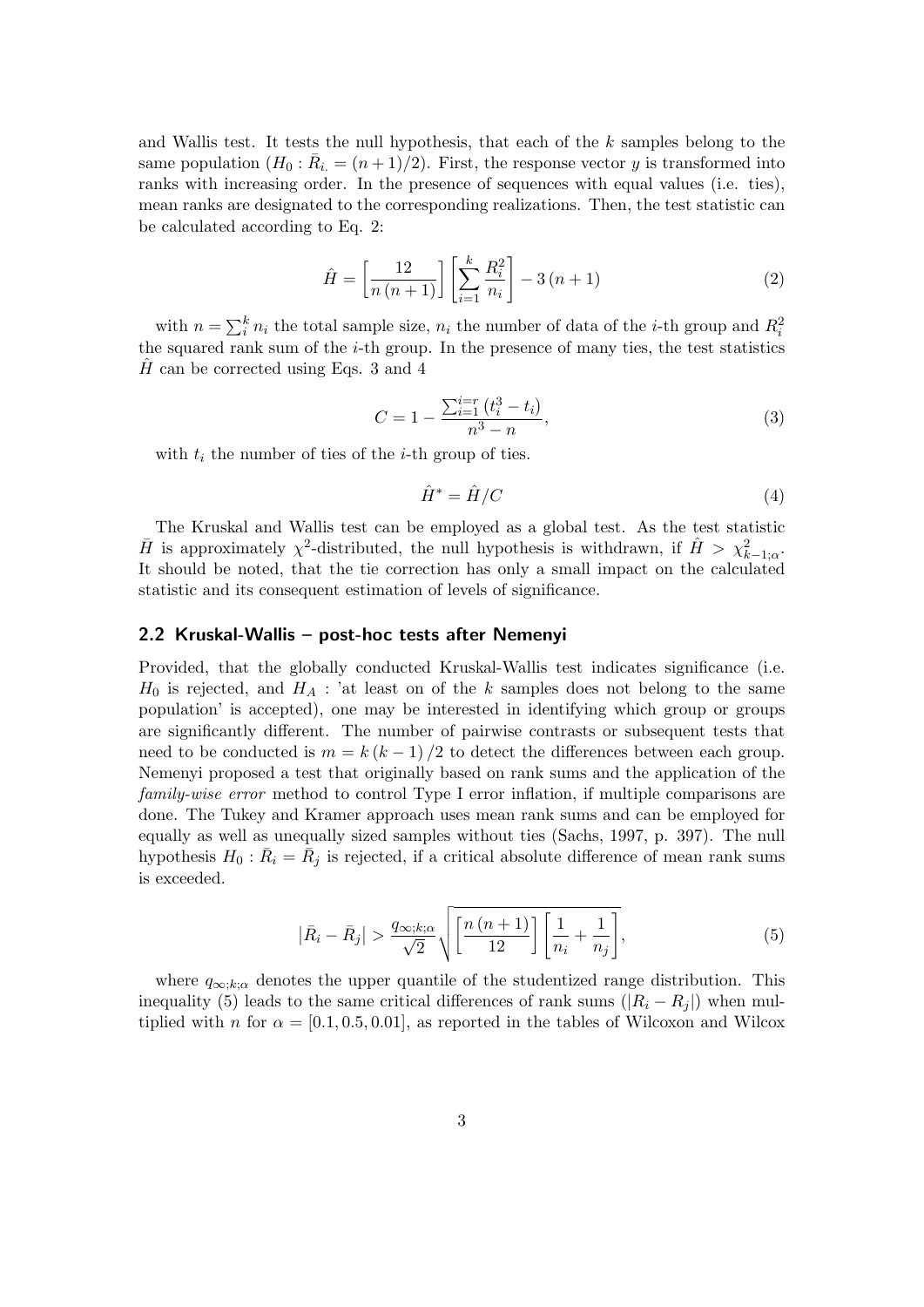and Wallis test. It tests the null hypothesis, that each of the  $k$  samples belong to the same population  $(H_0: \overline{R}_i = (n+1)/2)$ . First, the response vector y is transformed into ranks with increasing order. In the presence of sequences with equal values (i.e. ties), mean ranks are designated to the corresponding realizations. Then, the test statistic can be calculated according to Eq. 2:

$$
\hat{H} = \left[\frac{12}{n(n+1)}\right] \left[\sum_{i=1}^{k} \frac{R_i^2}{n_i}\right] - 3(n+1)
$$
\n(2)

with  $n = \sum_{i=1}^{k} n_i$  the total sample size,  $n_i$  the number of data of the *i*-th group and  $R_i^2$ the squared rank sum of the  $i$ -th group. In the presence of many ties, the test statistics H can be corrected using Eqs. 3 and 4

$$
C = 1 - \frac{\sum_{i=1}^{i=r} (t_i^3 - t_i)}{n^3 - n},
$$
\n(3)

with  $t_i$  the number of ties of the *i*-th group of ties.

$$
\hat{H}^* = \hat{H}/C \tag{4}
$$

The Kruskal and Wallis test can be employed as a global test. As the test statistic  $\bar{H}$  is approximately  $\chi^2$ -distributed, the null hypothesis is withdrawn, if  $\hat{H} > \chi^2_{k-1;\alpha}$ . It should be noted, that the tie correction has only a small impact on the calculated statistic and its consequent estimation of levels of significance.

#### 2.2 Kruskal-Wallis – post-hoc tests after Nemenyi

Provided, that the globally conducted Kruskal-Wallis test indicates significance (i.e.  $H_0$  is rejected, and  $H_A$ : 'at least on of the k samples does not belong to the same population' is accepted), one may be interested in identifying which group or groups are significantly different. The number of pairwise contrasts or subsequent tests that need to be conducted is  $m = k (k - 1) / 2$  to detect the differences between each group. Nemenyi proposed a test that originally based on rank sums and the application of the family-wise error method to control Type I error inflation, if multiple comparisons are done. The Tukey and Kramer approach uses mean rank sums and can be employed for equally as well as unequally sized samples without ties (Sachs, 1997, p. 397). The null hypothesis  $H_0$ :  $\overline{R}_i = \overline{R}_j$  is rejected, if a critical absolute difference of mean rank sums is exceeded.

$$
\left|\bar{R}_{i}-\bar{R}_{j}\right| > \frac{q_{\infty;k;\alpha}}{\sqrt{2}}\sqrt{\left[\frac{n\left(n+1\right)}{12}\right]\left[\frac{1}{n_{i}}+\frac{1}{n_{j}}\right]},\tag{5}
$$

where  $q_{\infty;k;\alpha}$  denotes the upper quantile of the studentized range distribution. This inequality (5) leads to the same critical differences of rank sums  $(|R_i - R_j|)$  when multiplied with n for  $\alpha = [0.1, 0.5, 0.01]$ , as reported in the tables of Wilcoxon and Wilcox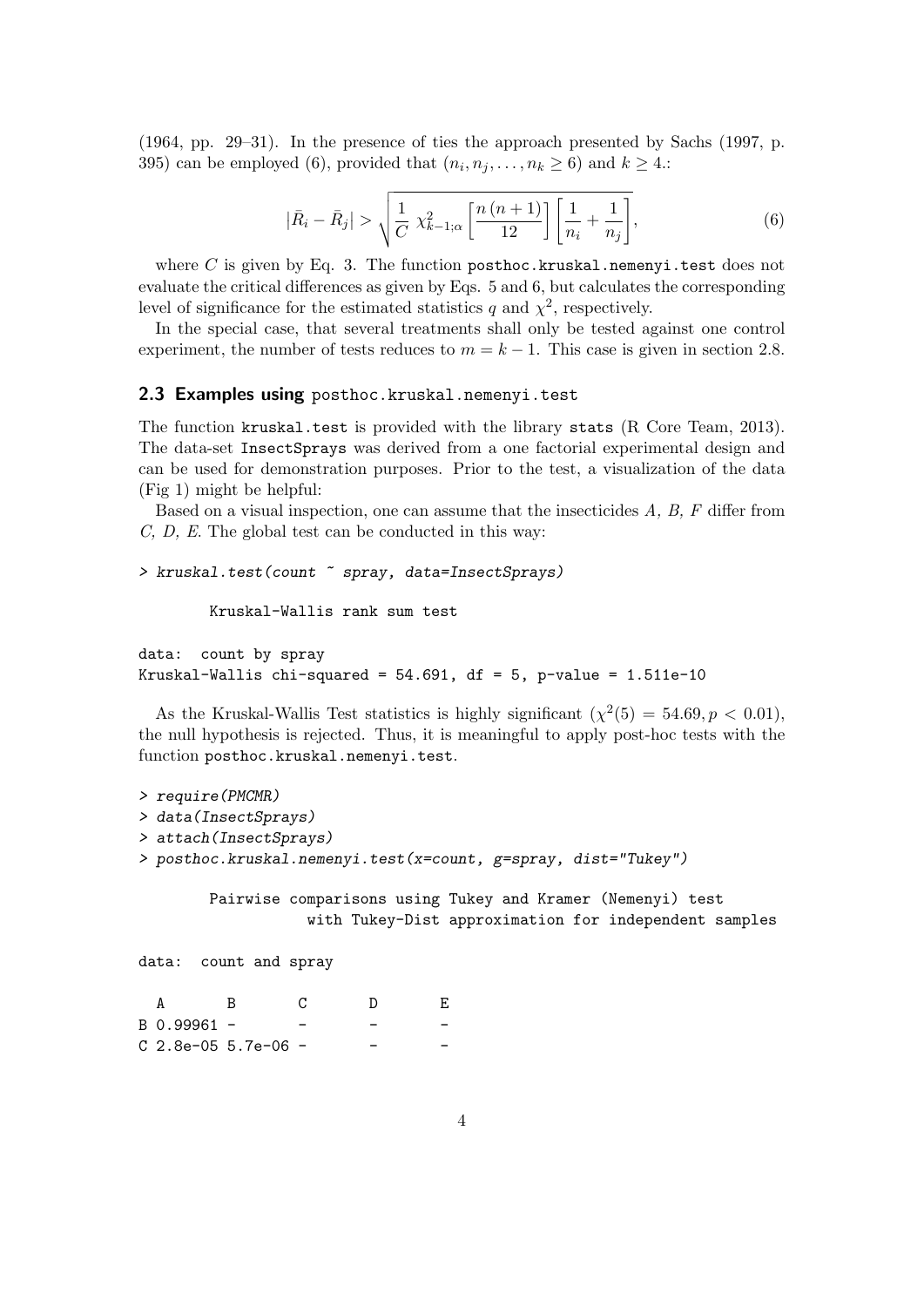(1964, pp. 29–31). In the presence of ties the approach presented by Sachs (1997, p. 395) can be employed (6), provided that  $(n_i, n_j, \ldots, n_k \ge 6)$  and  $k \ge 4$ .

$$
|\bar{R}_{i} - \bar{R}_{j}| > \sqrt{\frac{1}{C} \chi_{k-1;\alpha}^{2} \left[ \frac{n(n+1)}{12} \right] \left[ \frac{1}{n_{i}} + \frac{1}{n_{j}} \right]},
$$
(6)

where C is given by Eq. 3. The function posthoc.kruskal.nemenyi.test does not evaluate the critical differences as given by Eqs. 5 and 6, but calculates the corresponding level of significance for the estimated statistics q and  $\chi^2$ , respectively.

In the special case, that several treatments shall only be tested against one control experiment, the number of tests reduces to  $m = k - 1$ . This case is given in section 2.8.

#### 2.3 Examples using posthoc.kruskal.nemenyi.test

The function kruskal.test is provided with the library stats (R Core Team, 2013). The data-set InsectSprays was derived from a one factorial experimental design and can be used for demonstration purposes. Prior to the test, a visualization of the data (Fig 1) might be helpful:

Based on a visual inspection, one can assume that the insecticides  $A, B, F$  differ from C, D, E. The global test can be conducted in this way:

```
> kruskal.test(count ~ spray, data=InsectSprays)
```
Kruskal-Wallis rank sum test

```
data: count by spray
Kruskal-Wallis chi-squared = 54.691, df = 5, p-value = 1.511e-10
```
As the Kruskal-Wallis Test statistics is highly significant  $(\chi^2(5) = 54.69, p < 0.01)$ , the null hypothesis is rejected. Thus, it is meaningful to apply post-hoc tests with the function posthoc.kruskal.nemenyi.test.

```
> require(PMCMR)
> data(InsectSprays)
> attach(InsectSprays)
> posthoc.kruskal.nemenyi.test(x=count, g=spray, dist="Tukey")
       Pairwise comparisons using Tukey and Kramer (Nemenyi) test
```
with Tukey-Dist approximation for independent samples

```
data: count and spray
```

| B 0.99961 - |                     |  |  |
|-------------|---------------------|--|--|
|             | C 2.8e-05 5.7e-06 - |  |  |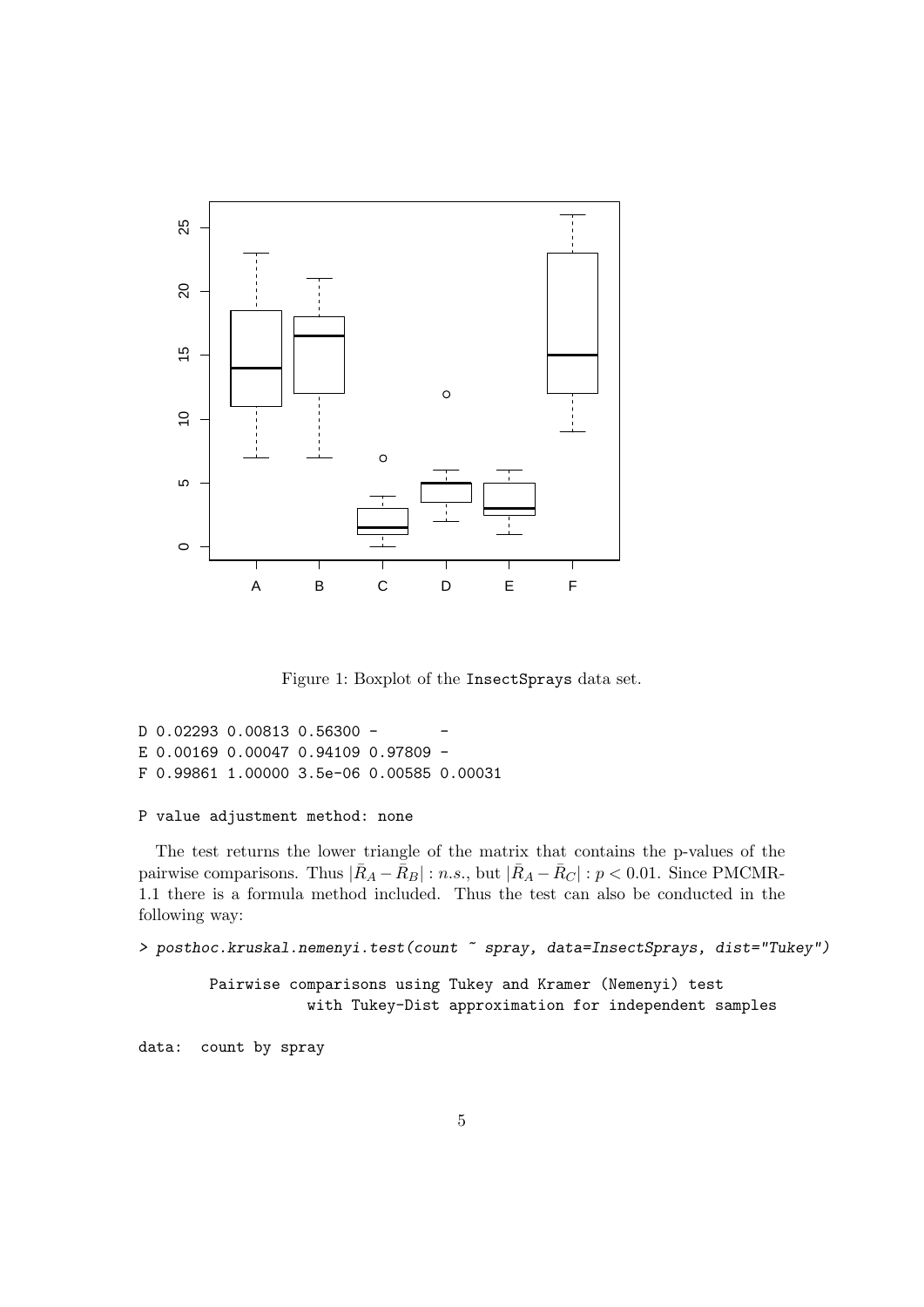

Figure 1: Boxplot of the InsectSprays data set.

```
D 0.02293 0.00813 0.56300 -
E 0.00169 0.00047 0.94109 0.97809 -
F 0.99861 1.00000 3.5e-06 0.00585 0.00031
```
#### P value adjustment method: none

The test returns the lower triangle of the matrix that contains the p-values of the pairwise comparisons. Thus  $|\bar{R}_A - \bar{R}_B| : n.s.,$  but  $|\bar{R}_A - \bar{R}_C| : p < 0.01$ . Since PMCMR-1.1 there is a formula method included. Thus the test can also be conducted in the following way:

> posthoc.kruskal.nemenyi.test(count ~ spray, data=InsectSprays, dist="Tukey")

Pairwise comparisons using Tukey and Kramer (Nemenyi) test with Tukey-Dist approximation for independent samples

data: count by spray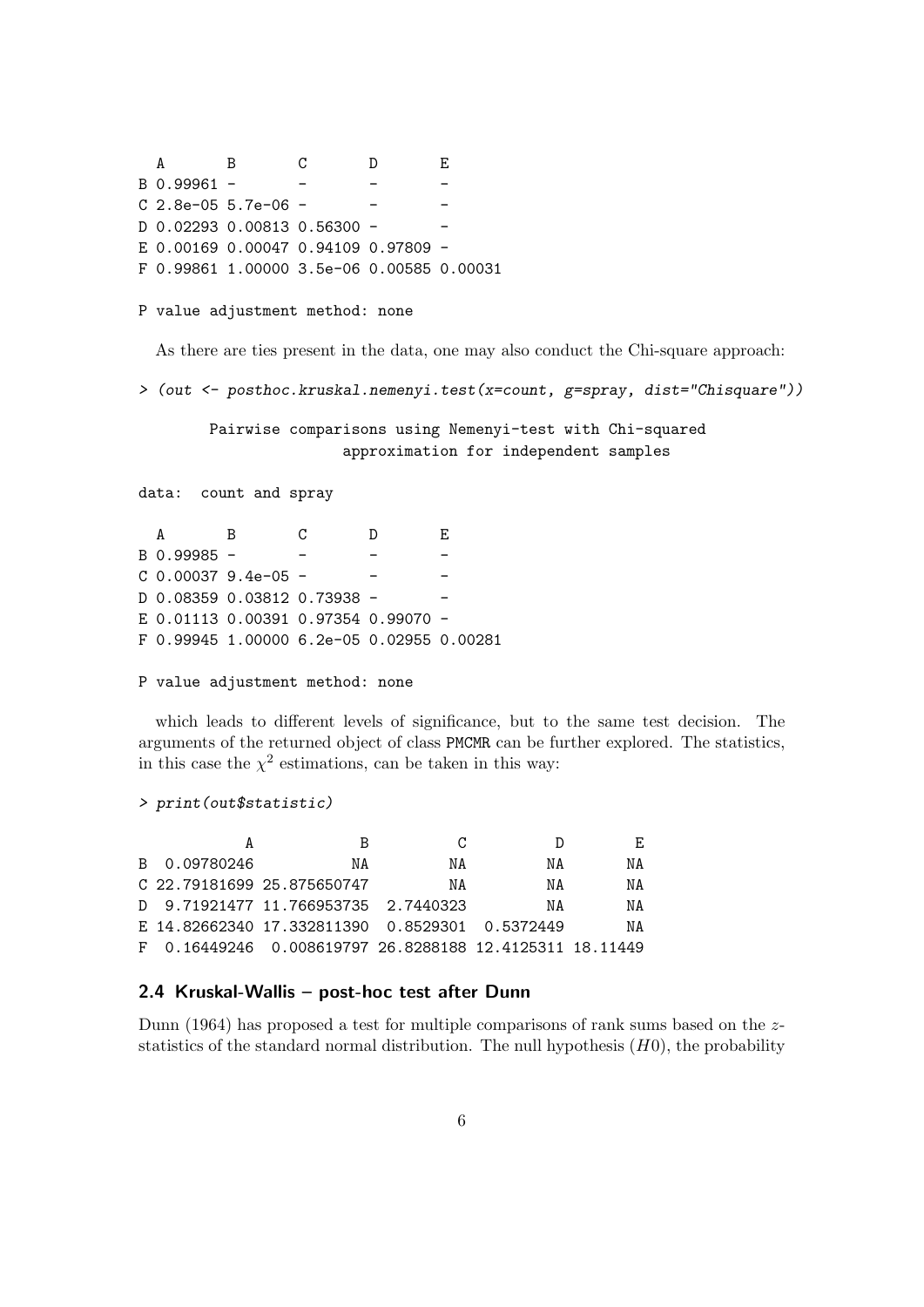A B C D E B 0.99961 - - - - C 2.8e-05 5.7e-06 - - - - -D 0.02293 0.00813 0.56300 -E 0.00169 0.00047 0.94109 0.97809 - F 0.99861 1.00000 3.5e-06 0.00585 0.00031

P value adjustment method: none

As there are ties present in the data, one may also conduct the Chi-square approach:

> (out <- posthoc.kruskal.nemenyi.test(x=count, g=spray, dist="Chisquare"))

Pairwise comparisons using Nemenyi-test with Chi-squared approximation for independent samples

data: count and spray

| A           | в                                         | C | D | E. |
|-------------|-------------------------------------------|---|---|----|
| B 0.99985 - |                                           |   |   |    |
|             | $C$ 0.00037 9.4e-05 -                     |   |   |    |
|             |                                           |   |   |    |
|             | E 0.01113  0.00391  0.97354  0.99070 -    |   |   |    |
|             | F 0.99945 1.00000 6.2e-05 0.02955 0.00281 |   |   |    |

P value adjustment method: none

which leads to different levels of significance, but to the same test decision. The arguments of the returned object of class PMCMR can be further explored. The statistics, in this case the  $\chi^2$  estimations, can be taken in this way:

> print(out\$statistic)

|              |                                                              | C. |    | E. |
|--------------|--------------------------------------------------------------|----|----|----|
| B 0.09780246 | ΝA                                                           | ΝA | ΝA | ΝA |
|              | C 22.79181699 25.875650747                                   | ΝA | NA | NA |
|              | D 9.71921477 11.766953735 2.7440323                          |    | NA | ΝA |
|              | E 14.82662340 17.332811390 0.8529301 0.5372449               |    |    | NA |
|              | F  0.16449246  0.008619797  26.8288188  12.4125311  18.11449 |    |    |    |

### 2.4 Kruskal-Wallis – post-hoc test after Dunn

Dunn (1964) has proposed a test for multiple comparisons of rank sums based on the zstatistics of the standard normal distribution. The null hypothesis  $(H0)$ , the probability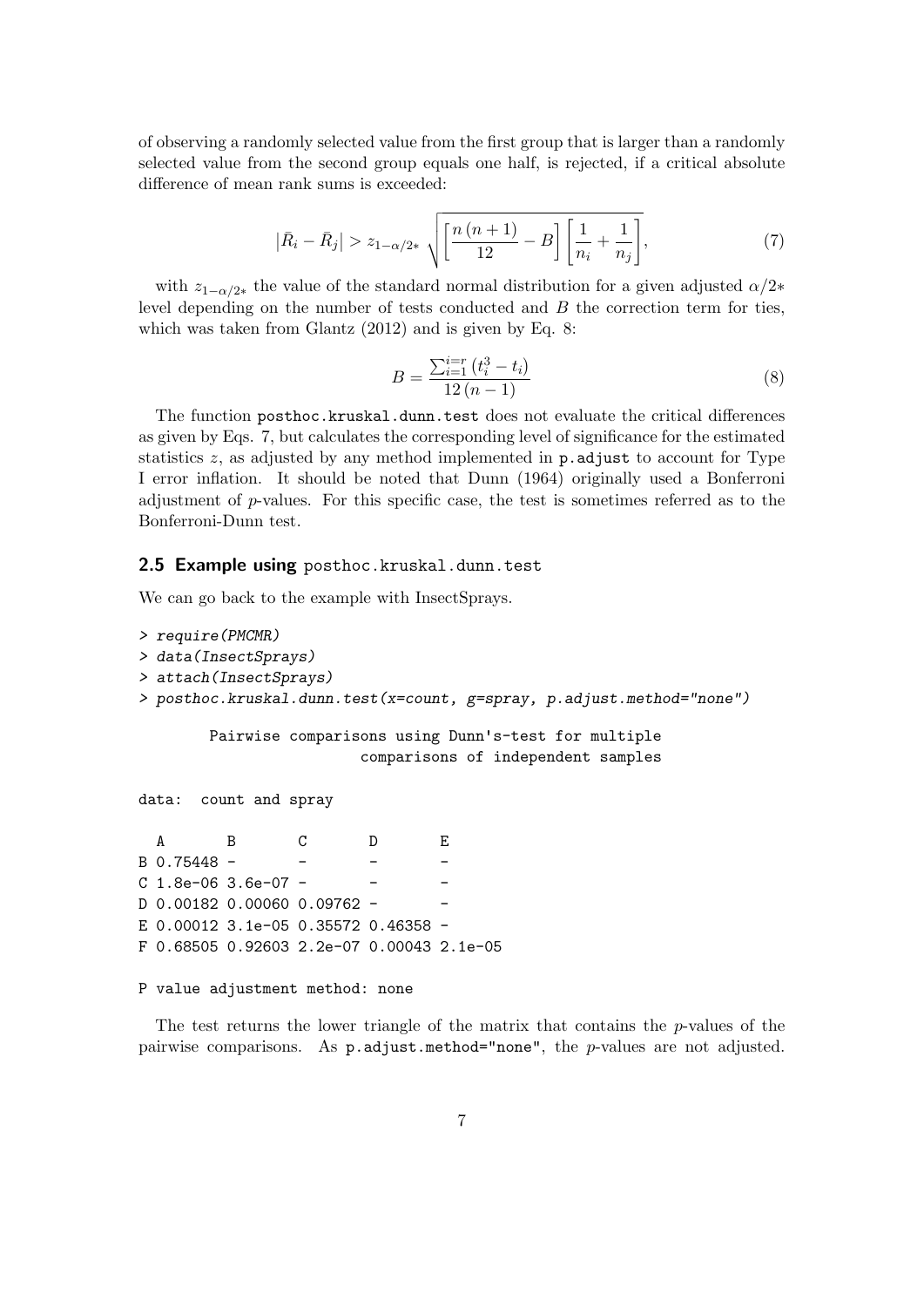of observing a randomly selected value from the first group that is larger than a randomly selected value from the second group equals one half, is rejected, if a critical absolute difference of mean rank sums is exceeded:

$$
|\bar{R}_i - \bar{R}_j| > z_{1-\alpha/2*} \sqrt{\left[\frac{n(n+1)}{12} - B\right] \left[\frac{1}{n_i} + \frac{1}{n_j}\right]},
$$
\n(7)

with  $z_{1-\alpha/2*}$  the value of the standard normal distribution for a given adjusted  $\alpha/2*$ level depending on the number of tests conducted and  $B$  the correction term for ties, which was taken from Glantz (2012) and is given by Eq. 8:

$$
B = \frac{\sum_{i=1}^{i=r} (t_i^3 - t_i)}{12 (n - 1)}
$$
\n(8)

The function posthoc.kruskal.dunn.test does not evaluate the critical differences as given by Eqs. 7, but calculates the corresponding level of significance for the estimated statistics  $z$ , as adjusted by any method implemented in **p.** adjust to account for Type I error inflation. It should be noted that Dunn (1964) originally used a Bonferroni adjustment of  $p$ -values. For this specific case, the test is sometimes referred as to the Bonferroni-Dunn test.

#### 2.5 Example using posthoc.kruskal.dunn.test

We can go back to the example with InsectSprays.

```
> require(PMCMR)
> data(InsectSprays)
> attach(InsectSprays)
> posthoc.kruskal.dunn.test(x=count, g=spray, p.adjust.method="none")
       Pairwise comparisons using Dunn's-test for multiple
                       comparisons of independent samples
data: count and spray
  A B C D E
B 0.75448 -
C 1.8e-06 3.6e-07 -
D 0.00182 0.00060 0.09762 - -
E 0.00012 3.1e-05 0.35572 0.46358 -
F 0.68505 0.92603 2.2e-07 0.00043 2.1e-05
```

```
P value adjustment method: none
```
The test returns the lower triangle of the matrix that contains the  $p$ -values of the pairwise comparisons. As p.adjust.method="none", the p-values are not adjusted.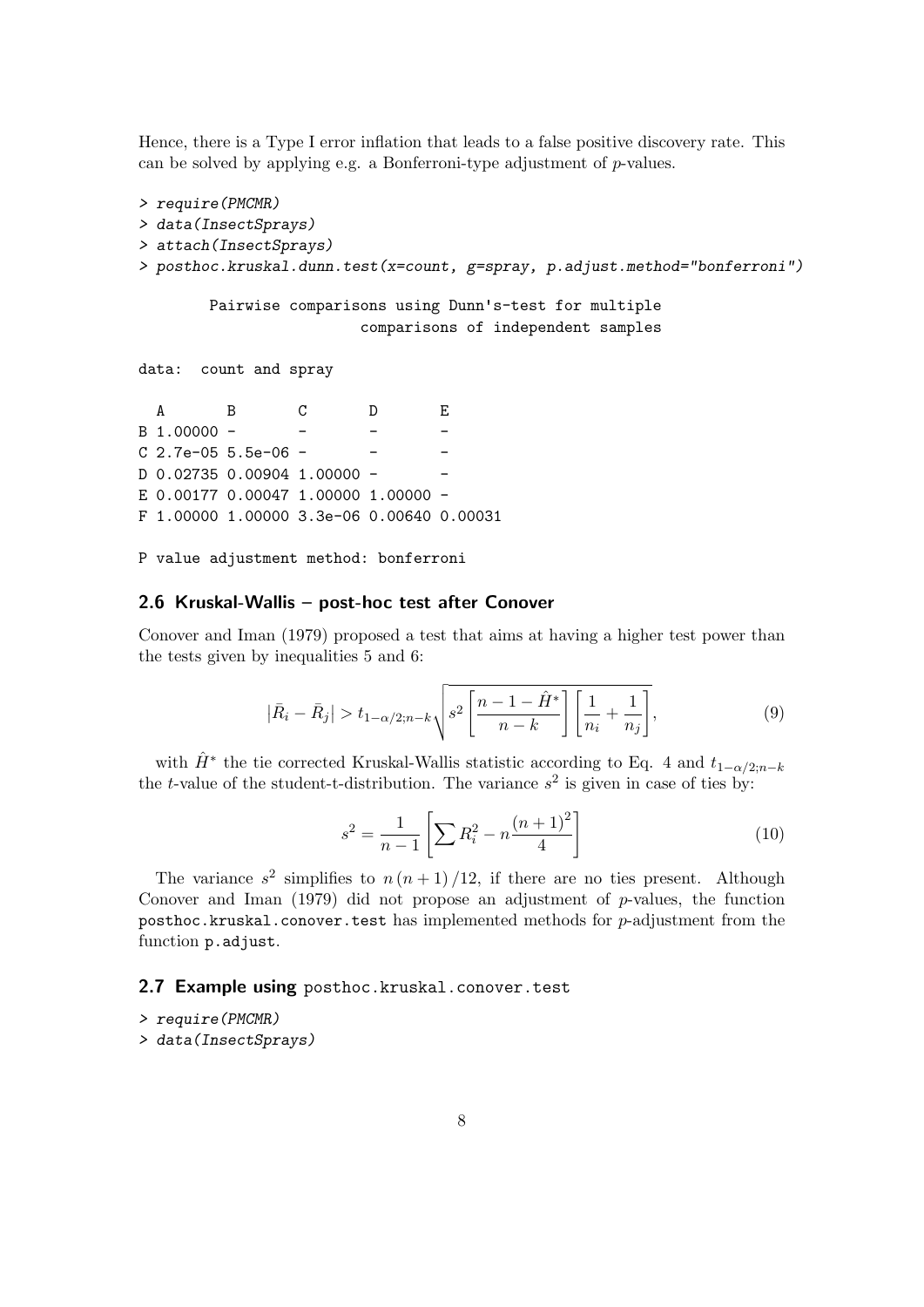Hence, there is a Type I error inflation that leads to a false positive discovery rate. This can be solved by applying e.g. a Bonferroni-type adjustment of  $p$ -values.

```
> require(PMCMR)
> data(InsectSprays)
> attach(InsectSprays)
> posthoc.kruskal.dunn.test(x=count, g=spray, p.adjust.method="bonferroni")
       Pairwise comparisons using Dunn's-test for multiple
                      comparisons of independent samples
data: count and spray
  A B C D E
B 1.00000 - - - - -
C 2.7e-05 5.5e-06 - - - -
D 0.02735 0.00904 1.00000 -
E 0.00177 0.00047 1.00000 1.00000 -
```
- F 1.00000 1.00000 3.3e-06 0.00640 0.00031
- P value adjustment method: bonferroni

#### 2.6 Kruskal-Wallis – post-hoc test after Conover

Conover and Iman (1979) proposed a test that aims at having a higher test power than the tests given by inequalities 5 and 6:

$$
\left|\bar{R}_{i}-\bar{R}_{j}\right|>t_{1-\alpha/2;n-k}\sqrt{s^{2}\left[\frac{n-1-\hat{H}^{*}}{n-k}\right]\left[\frac{1}{n_{i}}+\frac{1}{n_{j}}\right]},\tag{9}
$$

with  $\hat{H}^*$  the tie corrected Kruskal-Wallis statistic according to Eq. 4 and  $t_{1-\alpha/2;n-k}$ the *t*-value of the student-t-distribution. The variance  $s^2$  is given in case of ties by:

$$
s^{2} = \frac{1}{n-1} \left[ \sum R_{i}^{2} - n \frac{(n+1)^{2}}{4} \right]
$$
 (10)

The variance  $s^2$  simplifies to  $n(n+1)/12$ , if there are no ties present. Although Conover and Iman  $(1979)$  did not propose an adjustment of p-values, the function posthoc.kruskal.conover.test has implemented methods for  $p$ -adjustment from the function p.adjust.

#### 2.7 Example using posthoc.kruskal.conover.test

- > require(PMCMR)
- > data(InsectSprays)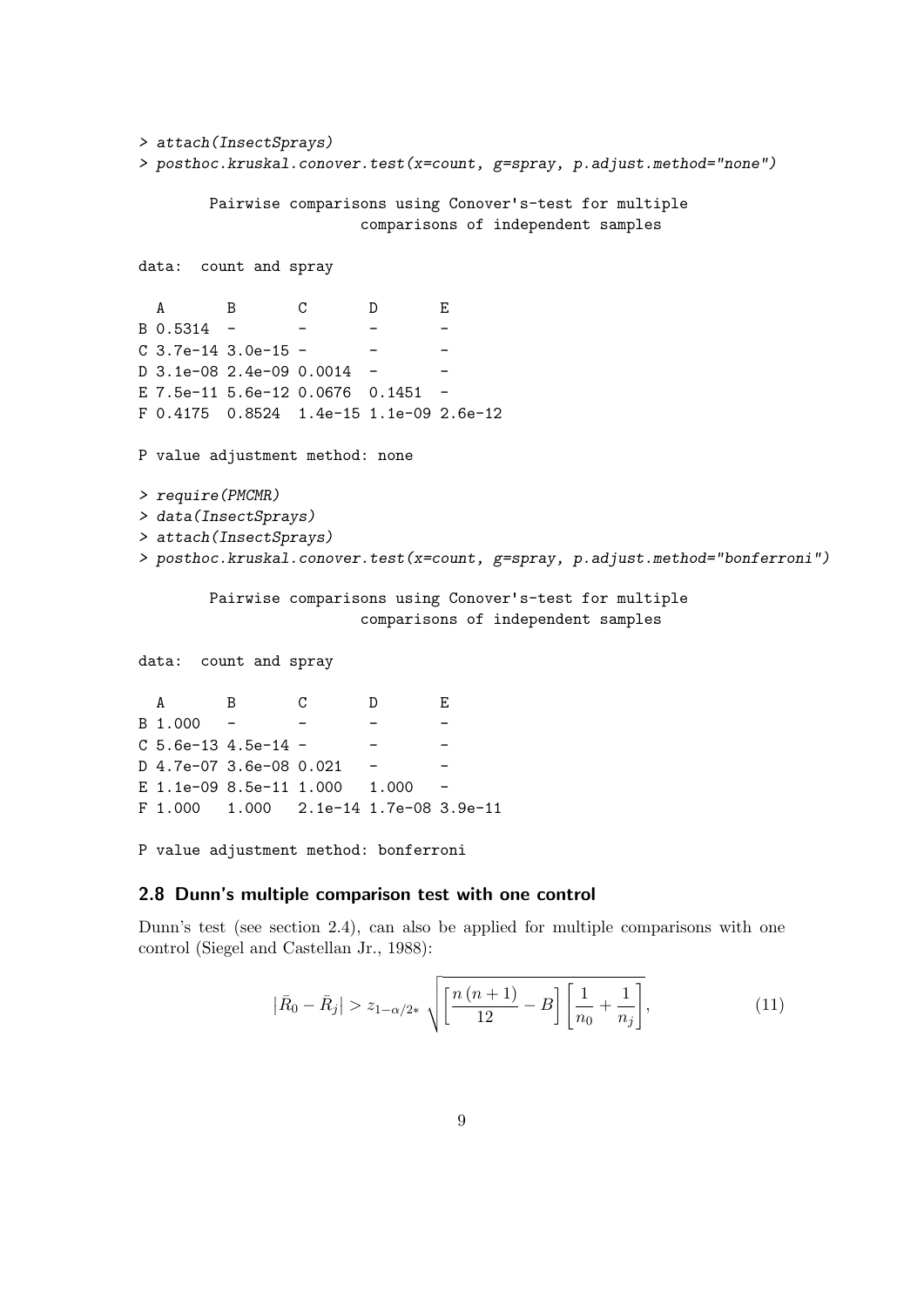```
> attach(InsectSprays)
> posthoc.kruskal.conover.test(x=count, g=spray, p.adjust.method="none")
       Pairwise comparisons using Conover's-test for multiple
                       comparisons of independent samples
data: count and spray
  A B C D E
B 0.5314 - - - - -
C 3.7e-14 3.0e-15 - -
D 3.1e-08 2.4e-09 0.0014 -
E 7.5e-11 5.6e-12 0.0676 0.1451 -
F 0.4175 0.8524 1.4e-15 1.1e-09 2.6e-12
P value adjustment method: none
> require(PMCMR)
> data(InsectSprays)
> attach(InsectSprays)
> posthoc.kruskal.conover.test(x=count, g=spray, p.adjust.method="bonferroni")
       Pairwise comparisons using Conover's-test for multiple
                       comparisons of independent samples
```
data: count and spray

A B C D E  $B$  1.000 - - - - $C$  5.6e-13 4.5e-14 - - - - $D$  4.7e-07 3.6e-08 0.021 E 1.1e-09 8.5e-11 1.000 1.000 -F 1.000 1.000 2.1e-14 1.7e-08 3.9e-11

P value adjustment method: bonferroni

#### 2.8 Dunn's multiple comparison test with one control

Dunn's test (see section 2.4), can also be applied for multiple comparisons with one control (Siegel and Castellan Jr., 1988):

$$
|\bar{R}_0 - \bar{R}_j| > z_{1-\alpha/2*} \sqrt{\left[\frac{n(n+1)}{12} - B\right] \left[\frac{1}{n_0} + \frac{1}{n_j}\right]},
$$
\n(11)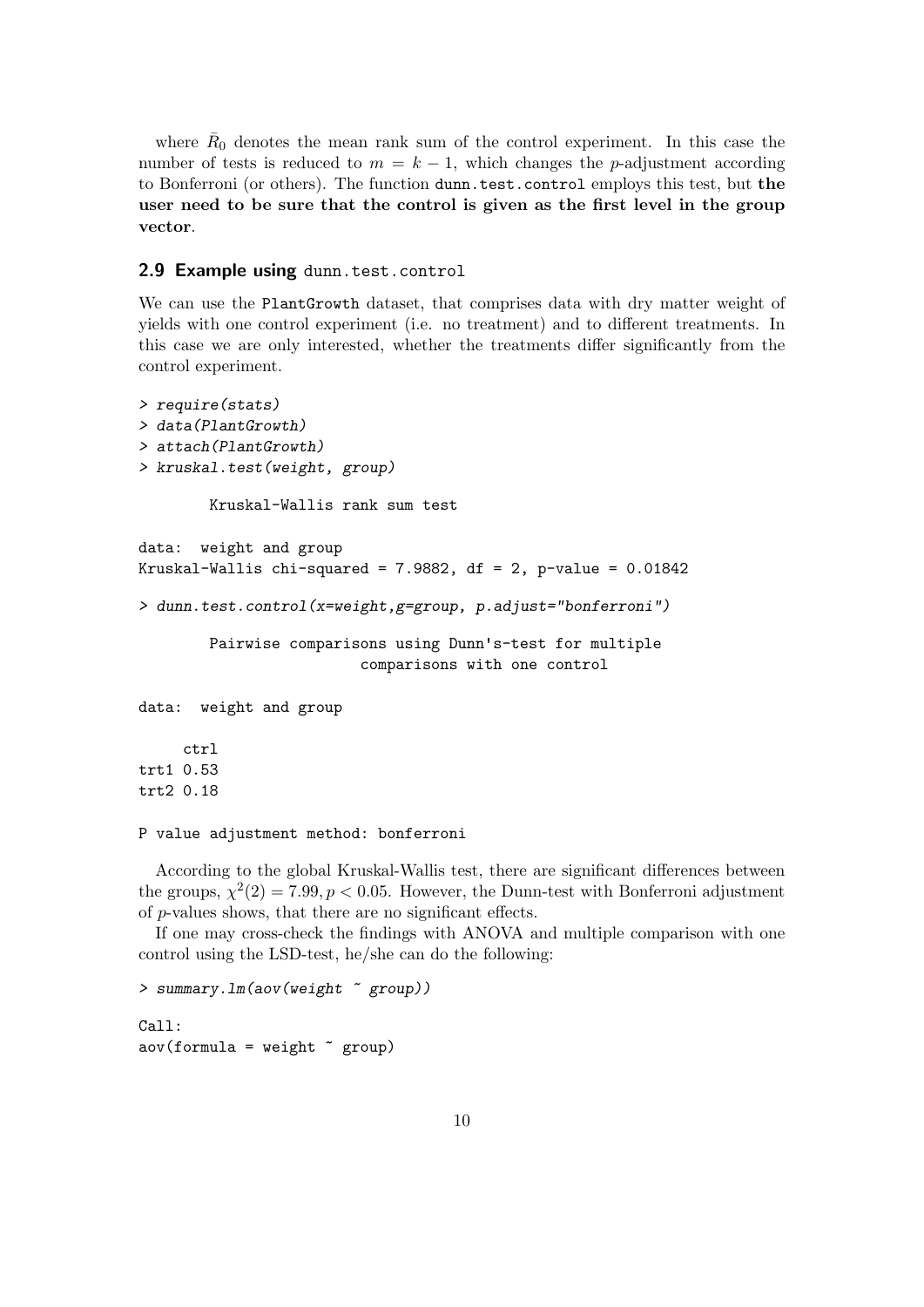where  $\bar{R}_0$  denotes the mean rank sum of the control experiment. In this case the number of tests is reduced to  $m = k - 1$ , which changes the p-adjustment according to Bonferroni (or others). The function dunn.test.control employs this test, but the user need to be sure that the control is given as the first level in the group vector.

#### 2.9 Example using dunn.test.control

We can use the PlantGrowth dataset, that comprises data with dry matter weight of yields with one control experiment (i.e. no treatment) and to different treatments. In this case we are only interested, whether the treatments differ significantly from the control experiment.

```
> require(stats)
> data(PlantGrowth)
> attach(PlantGrowth)
> kruskal.test(weight, group)
        Kruskal-Wallis rank sum test
data: weight and group
Kruskal-Wallis chi-squared = 7.9882, df = 2, p-value = 0.01842> dunn.test.control(x=weight,g=group, p.adjust="bonferroni")
        Pairwise comparisons using Dunn's-test for multiple
                         comparisons with one control
data: weight and group
     ctrl
trt1 0.53
trt2 0.18
```

```
P value adjustment method: bonferroni
```
According to the global Kruskal-Wallis test, there are significant differences between the groups,  $\chi^2(2) = 7.99, p < 0.05$ . However, the Dunn-test with Bonferroni adjustment of p-values shows, that there are no significant effects.

If one may cross-check the findings with ANOVA and multiple comparison with one control using the LSD-test, he/she can do the following:

```
> summary.lm(aov(weight ~ group))
Call:
\text{aov}(\text{formula} = \text{weight} \text{ x group})
```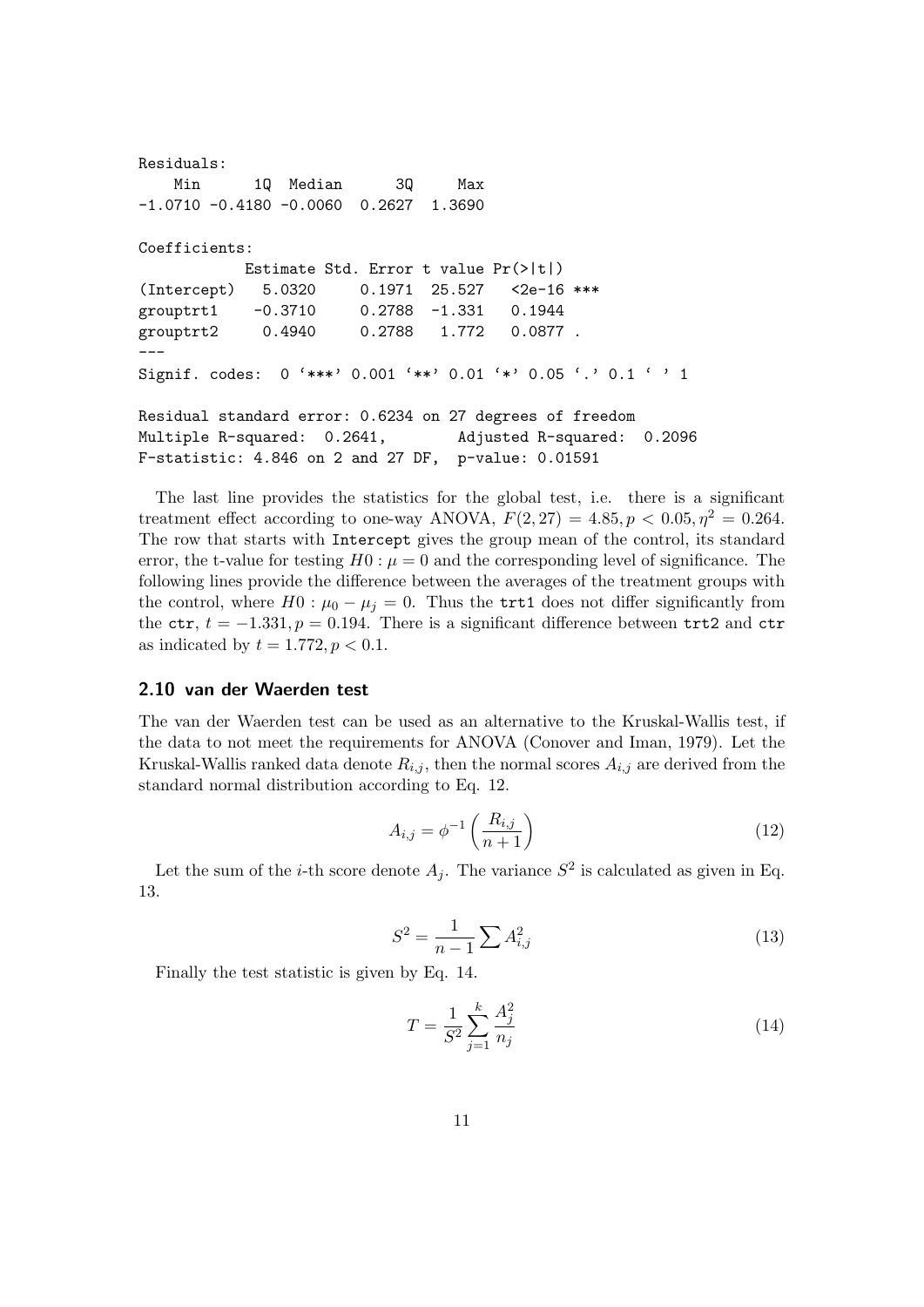```
Residuals:
   Min 1Q Median 3Q Max
-1.0710 -0.4180 -0.0060 0.2627 1.3690
Coefficients:
          Estimate Std. Error t value Pr(>|t|)
(Intercept) 5.0320 0.1971 25.527 <2e-16 ***
grouptrt1 -0.3710 0.2788 -1.331 0.1944
grouptrt2 0.4940 0.2788 1.772 0.0877 .
---
Signif. codes: 0 '***' 0.001 '**' 0.01 '*' 0.05 '.' 0.1 ' ' 1
Residual standard error: 0.6234 on 27 degrees of freedom
Multiple R-squared: 0.2641, Adjusted R-squared: 0.2096
F-statistic: 4.846 on 2 and 27 DF, p-value: 0.01591
```
The last line provides the statistics for the global test, i.e. there is a significant treatment effect according to one-way ANOVA,  $F(2, 27) = 4.85$ ,  $p < 0.05$ ,  $\eta^2 = 0.264$ . The row that starts with Intercept gives the group mean of the control, its standard error, the t-value for testing  $H0: \mu=0$  and the corresponding level of significance. The following lines provide the difference between the averages of the treatment groups with the control, where  $H0: \mu_0 - \mu_i = 0$ . Thus the trt1 does not differ significantly from the ctr,  $t = -1.331$ ,  $p = 0.194$ . There is a significant difference between trt2 and ctr as indicated by  $t = 1.772, p < 0.1$ .

#### 2.10 van der Waerden test

The van der Waerden test can be used as an alternative to the Kruskal-Wallis test, if the data to not meet the requirements for ANOVA (Conover and Iman, 1979). Let the Kruskal-Wallis ranked data denote  $R_{i,j}$ , then the normal scores  $A_{i,j}$  are derived from the standard normal distribution according to Eq. 12.

$$
A_{i,j} = \phi^{-1}\left(\frac{R_{i,j}}{n+1}\right) \tag{12}
$$

Let the sum of the *i*-th score denote  $A_j$ . The variance  $S^2$  is calculated as given in Eq. 13.

$$
S^2 = \frac{1}{n-1} \sum A_{i,j}^2
$$
 (13)

Finally the test statistic is given by Eq. 14.

$$
T = \frac{1}{S^2} \sum_{j=1}^{k} \frac{A_j^2}{n_j}
$$
 (14)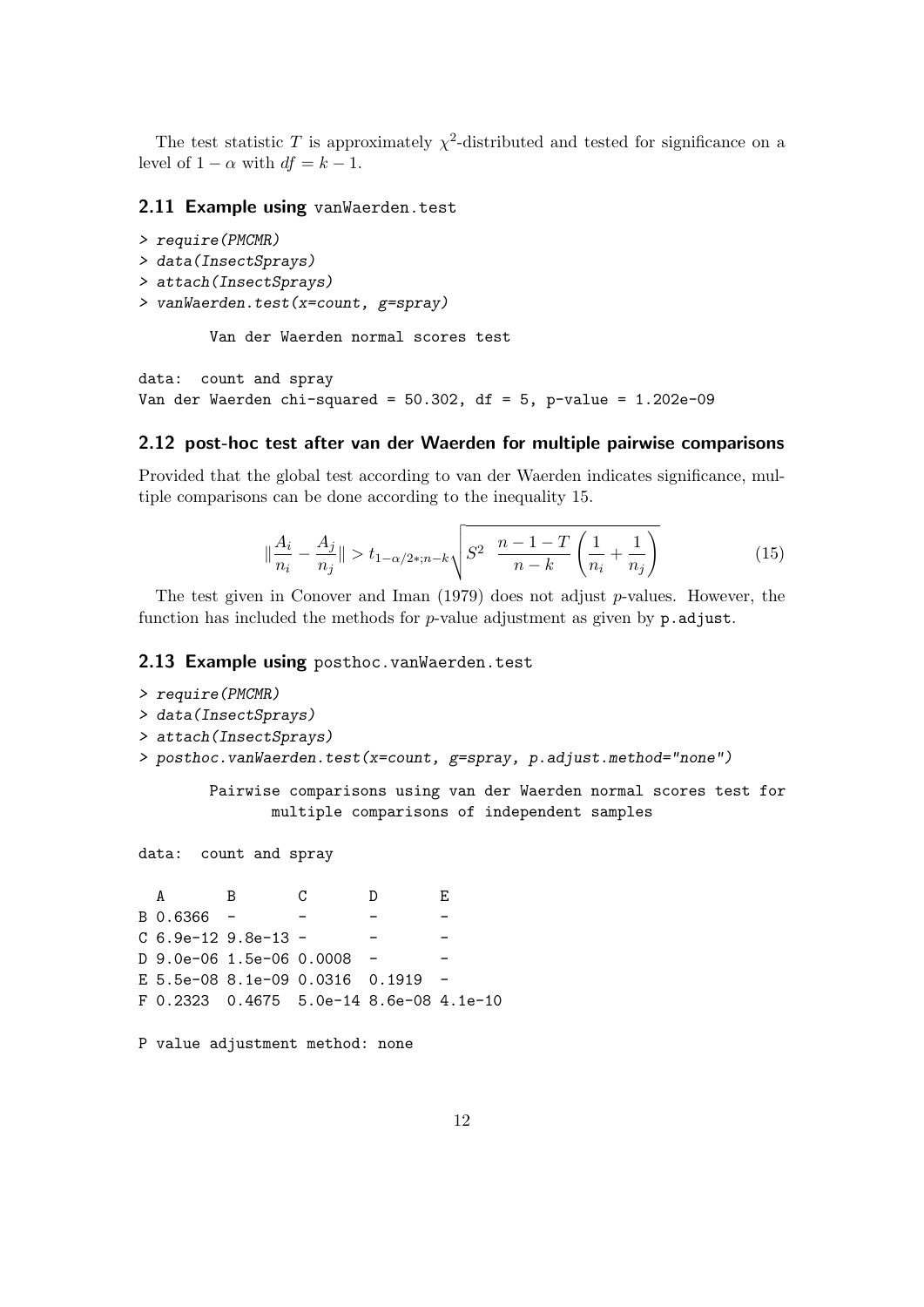The test statistic T is approximately  $\chi^2$ -distributed and tested for significance on a level of  $1 - \alpha$  with  $df = k - 1$ .

#### 2.11 Example using vanWaerden.test

```
> require(PMCMR)
> data(InsectSprays)
> attach(InsectSprays)
> vanWaerden.test(x=count, g=spray)
```
Van der Waerden normal scores test

data: count and spray Van der Waerden chi-squared =  $50.302$ , df =  $5$ , p-value =  $1.202e-09$ 

#### 2.12 post-hoc test after van der Waerden for multiple pairwise comparisons

Provided that the global test according to van der Waerden indicates significance, multiple comparisons can be done according to the inequality 15.

$$
\|\frac{A_i}{n_i} - \frac{A_j}{n_j}\| > t_{1-\alpha/2*, n-k} \sqrt{S^2 \left(\frac{n-1-T}{n-k} \left(\frac{1}{n_i} + \frac{1}{n_j}\right)\right)}
$$
(15)

The test given in Conover and Iman  $(1979)$  does not adjust p-values. However, the function has included the methods for  $p$ -value adjustment as given by  $p$ . adjust.

#### 2.13 Example using posthoc.vanWaerden.test

```
> require(PMCMR)
> data(InsectSprays)
> attach(InsectSprays)
> posthoc.vanWaerden.test(x=count, g=spray, p.adjust.method="none")
```
Pairwise comparisons using van der Waerden normal scores test for multiple comparisons of independent samples

data: count and spray

```
A B C D E
B \, 0.6366 - -C 6.9e-12 9.8e-13 - - - -
D 9.0e-06 1.5e-06 0.0008 -
E 5.5e-08 8.1e-09 0.0316 0.1919 -
F 0.2323 0.4675 5.0e-14 8.6e-08 4.1e-10
```
P value adjustment method: none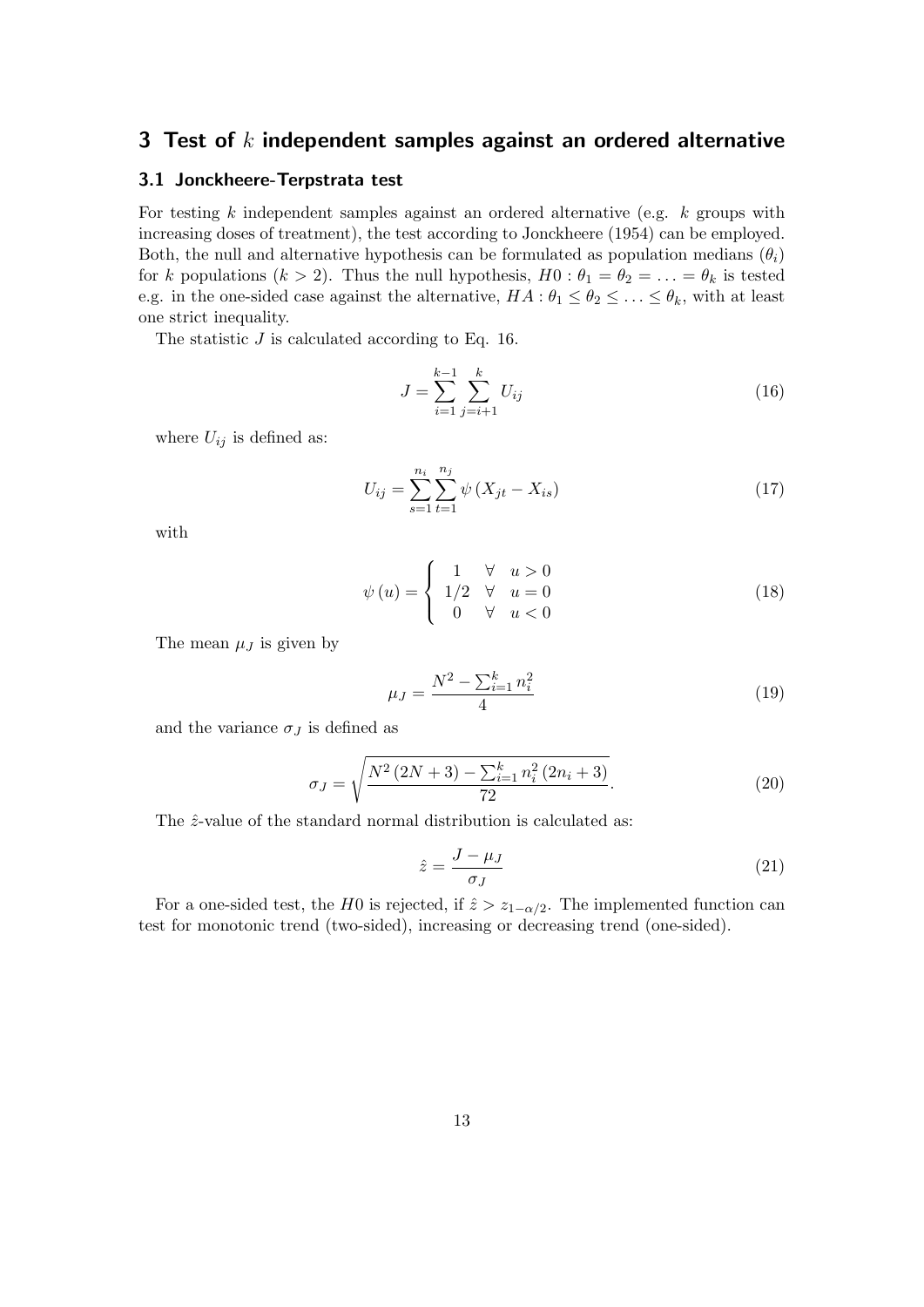### 3 Test of  $k$  independent samples against an ordered alternative

#### 3.1 Jonckheere-Terpstrata test

For testing  $k$  independent samples against an ordered alternative (e.g.  $k$  groups with increasing doses of treatment), the test according to Jonckheere (1954) can be employed. Both, the null and alternative hypothesis can be formulated as population medians  $(\theta_i)$ for k populations  $(k > 2)$ . Thus the null hypothesis,  $H0: \theta_1 = \theta_2 = \ldots = \theta_k$  is tested e.g. in the one-sided case against the alternative,  $HA: \theta_1 \leq \theta_2 \leq \ldots \leq \theta_k$ , with at least one strict inequality.

The statistic  $J$  is calculated according to Eq. 16.

$$
J = \sum_{i=1}^{k-1} \sum_{j=i+1}^{k} U_{ij}
$$
 (16)

where  $U_{ij}$  is defined as:

$$
U_{ij} = \sum_{s=1}^{n_i} \sum_{t=1}^{n_j} \psi \left( X_{jt} - X_{is} \right) \tag{17}
$$

with

$$
\psi(u) = \begin{cases}\n1 & \forall u > 0 \\
1/2 & \forall u = 0 \\
0 & \forall u < 0\n\end{cases}
$$
\n(18)

The mean  $\mu_J$  is given by

$$
\mu_J = \frac{N^2 - \sum_{i=1}^k n_i^2}{4} \tag{19}
$$

and the variance  $\sigma_J$  is defined as

$$
\sigma_J = \sqrt{\frac{N^2\left(2N+3\right) - \sum_{i=1}^k n_i^2\left(2n_i+3\right)}{72}}.\tag{20}
$$

The  $\hat{z}$ -value of the standard normal distribution is calculated as:

$$
\hat{z} = \frac{J - \mu_J}{\sigma_J} \tag{21}
$$

For a one-sided test, the H0 is rejected, if  $\hat{z} > z_{1-\alpha/2}$ . The implemented function can test for monotonic trend (two-sided), increasing or decreasing trend (one-sided).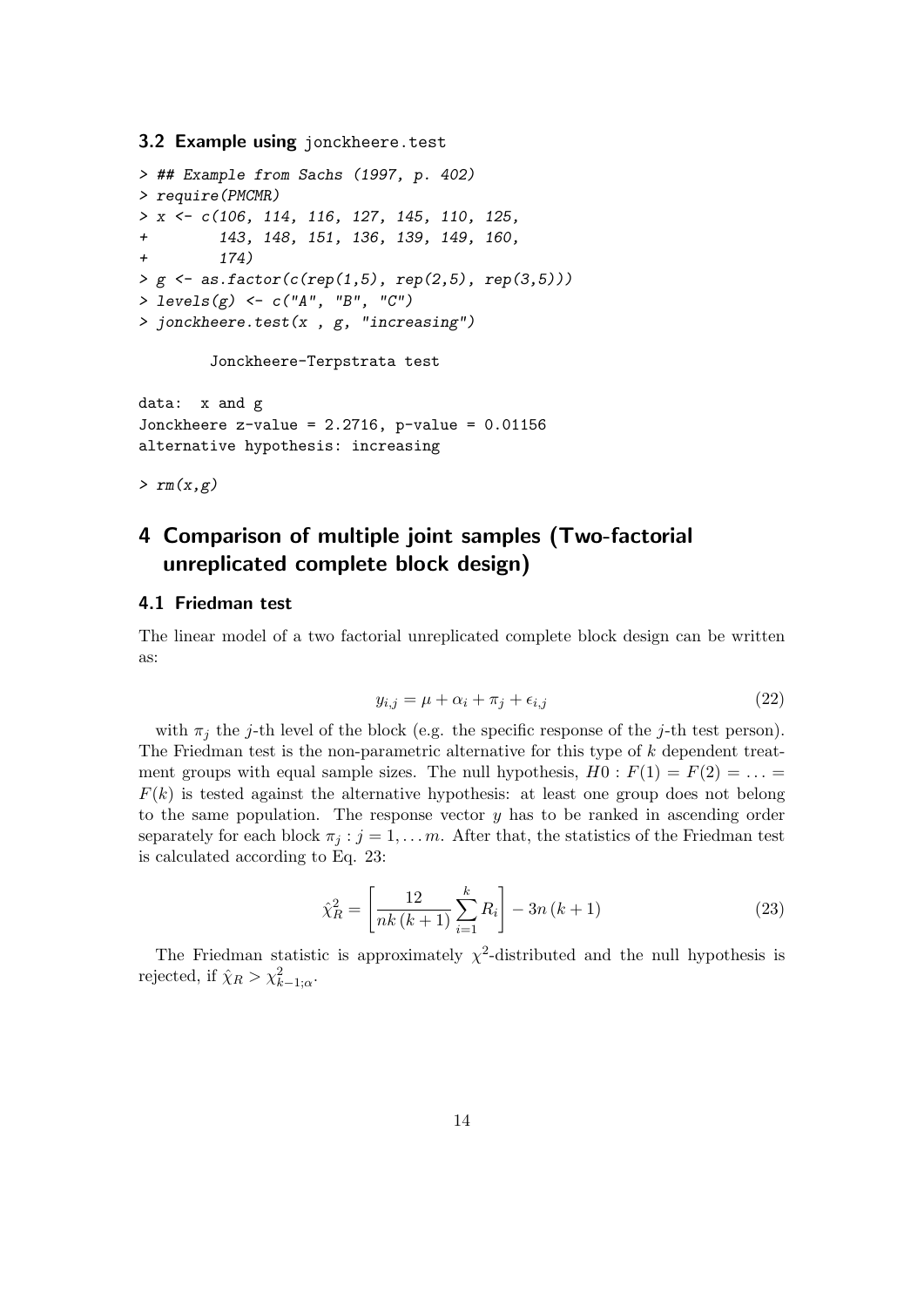#### 3.2 Example using jonckheere.test

```
> ## Example from Sachs (1997, p. 402)
> require(PMCMR)
> x <- c(106, 114, 116, 127, 145, 110, 125,
+ 143, 148, 151, 136, 139, 149, 160,
+ 174)
> g \leq -as.factor(c(rep(1,5), rep(2,5), rep(3,5)))> levels(g) <- c("A", "B", "C")
> jonckheere.test(x, g, 'increasing')
```
Jonckheere-Terpstrata test

```
data: x and g
Jonckheere z-value = 2.2716, p-value = 0.01156
alternative hypothesis: increasing
```
 $> rm(x,g)$ 

# 4 Comparison of multiple joint samples (Two-factorial unreplicated complete block design)

#### 4.1 Friedman test

The linear model of a two factorial unreplicated complete block design can be written as:

$$
y_{i,j} = \mu + \alpha_i + \pi_j + \epsilon_{i,j} \tag{22}
$$

with  $\pi_j$  the j-th level of the block (e.g. the specific response of the j-th test person). The Friedman test is the non-parametric alternative for this type of k dependent treatment groups with equal sample sizes. The null hypothesis,  $H0: F(1) = F(2) = ...$  $F(k)$  is tested against the alternative hypothesis: at least one group does not belong to the same population. The response vector  $y$  has to be ranked in ascending order separately for each block  $\pi_j : j = 1, \ldots, m$ . After that, the statistics of the Friedman test is calculated according to Eq. 23:

$$
\hat{\chi}_R^2 = \left[ \frac{12}{nk(k+1)} \sum_{i=1}^k R_i \right] - 3n(k+1)
$$
\n(23)

The Friedman statistic is approximately  $\chi^2$ -distributed and the null hypothesis is rejected, if  $\hat{\chi}_R > \chi^2_{k-1;\alpha}$ .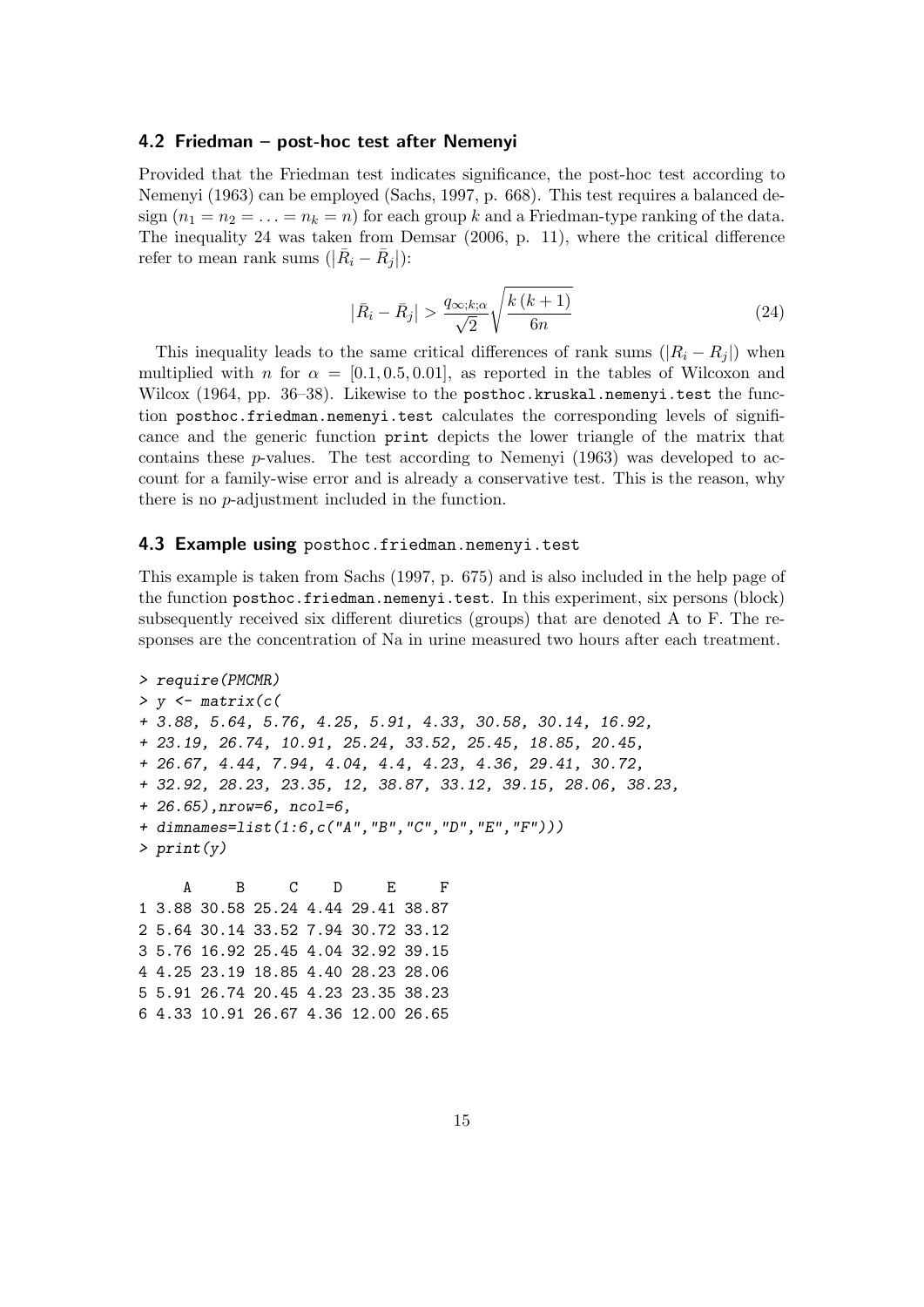#### 4.2 Friedman – post-hoc test after Nemenyi

Provided that the Friedman test indicates significance, the post-hoc test according to Nemenyi (1963) can be employed (Sachs, 1997, p. 668). This test requires a balanced design  $(n_1 = n_2 = \ldots = n_k = n)$  for each group k and a Friedman-type ranking of the data. The inequality 24 was taken from Demsar (2006, p. 11), where the critical difference refer to mean rank sums  $(|\bar{R}_i - \bar{R}_j|)$ :

$$
\left|\bar{R}_{i}-\bar{R}_{j}\right| > \frac{q_{\infty,k;\alpha}}{\sqrt{2}} \sqrt{\frac{k\left(k+1\right)}{6n}}\tag{24}
$$

This inequality leads to the same critical differences of rank sums  $(|R_i - R_j|)$  when multiplied with n for  $\alpha = [0.1, 0.5, 0.01]$ , as reported in the tables of Wilcoxon and Wilcox (1964, pp. 36–38). Likewise to the posthoc.kruskal.nemenyi.test the function posthoc.friedman.nemenyi.test calculates the corresponding levels of significance and the generic function print depicts the lower triangle of the matrix that contains these  $p$ -values. The test according to Nemenyi (1963) was developed to account for a family-wise error and is already a conservative test. This is the reason, why there is no p-adjustment included in the function.

#### 4.3 Example using posthoc.friedman.nemenyi.test

This example is taken from Sachs (1997, p. 675) and is also included in the help page of the function posthoc.friedman.nemenyi.test. In this experiment, six persons (block) subsequently received six different diuretics (groups) that are denoted A to F. The responses are the concentration of Na in urine measured two hours after each treatment.

```
> require(PMCMR)
> y <- matrix(c(
+ 3.88, 5.64, 5.76, 4.25, 5.91, 4.33, 30.58, 30.14, 16.92,
+ 23.19, 26.74, 10.91, 25.24, 33.52, 25.45, 18.85, 20.45,
+ 26.67, 4.44, 7.94, 4.04, 4.4, 4.23, 4.36, 29.41, 30.72,
+ 32.92, 28.23, 23.35, 12, 38.87, 33.12, 39.15, 28.06, 38.23,
+ 26.65),nrow=6, ncol=6,
+ dimnames=list(1:6,c("A","B","C","D","E","F")))
> print(y)A B C D E F
1 3.88 30.58 25.24 4.44 29.41 38.87
2 5.64 30.14 33.52 7.94 30.72 33.12
3 5.76 16.92 25.45 4.04 32.92 39.15
4 4.25 23.19 18.85 4.40 28.23 28.06
5 5.91 26.74 20.45 4.23 23.35 38.23
6 4.33 10.91 26.67 4.36 12.00 26.65
```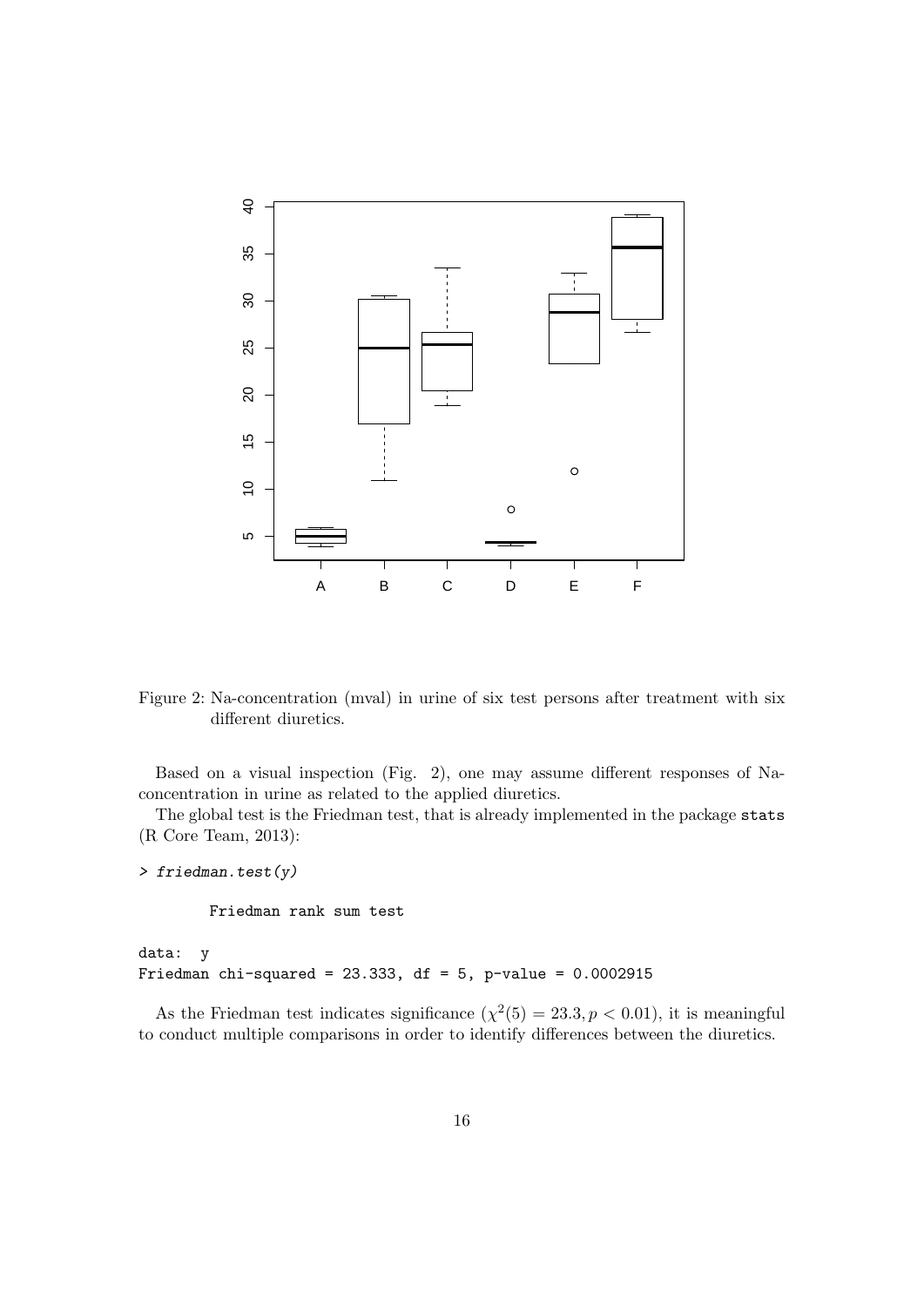

Figure 2: Na-concentration (mval) in urine of six test persons after treatment with six different diuretics.

Based on a visual inspection (Fig. 2), one may assume different responses of Naconcentration in urine as related to the applied diuretics.

The global test is the Friedman test, that is already implemented in the package stats (R Core Team, 2013):

```
> friedman.test(y)
```
Friedman rank sum test

data: y Friedman chi-squared =  $23.333$ , df =  $5$ , p-value =  $0.0002915$ 

As the Friedman test indicates significance  $(\chi^2(5) = 23.3, p < 0.01)$ , it is meaningful to conduct multiple comparisons in order to identify differences between the diuretics.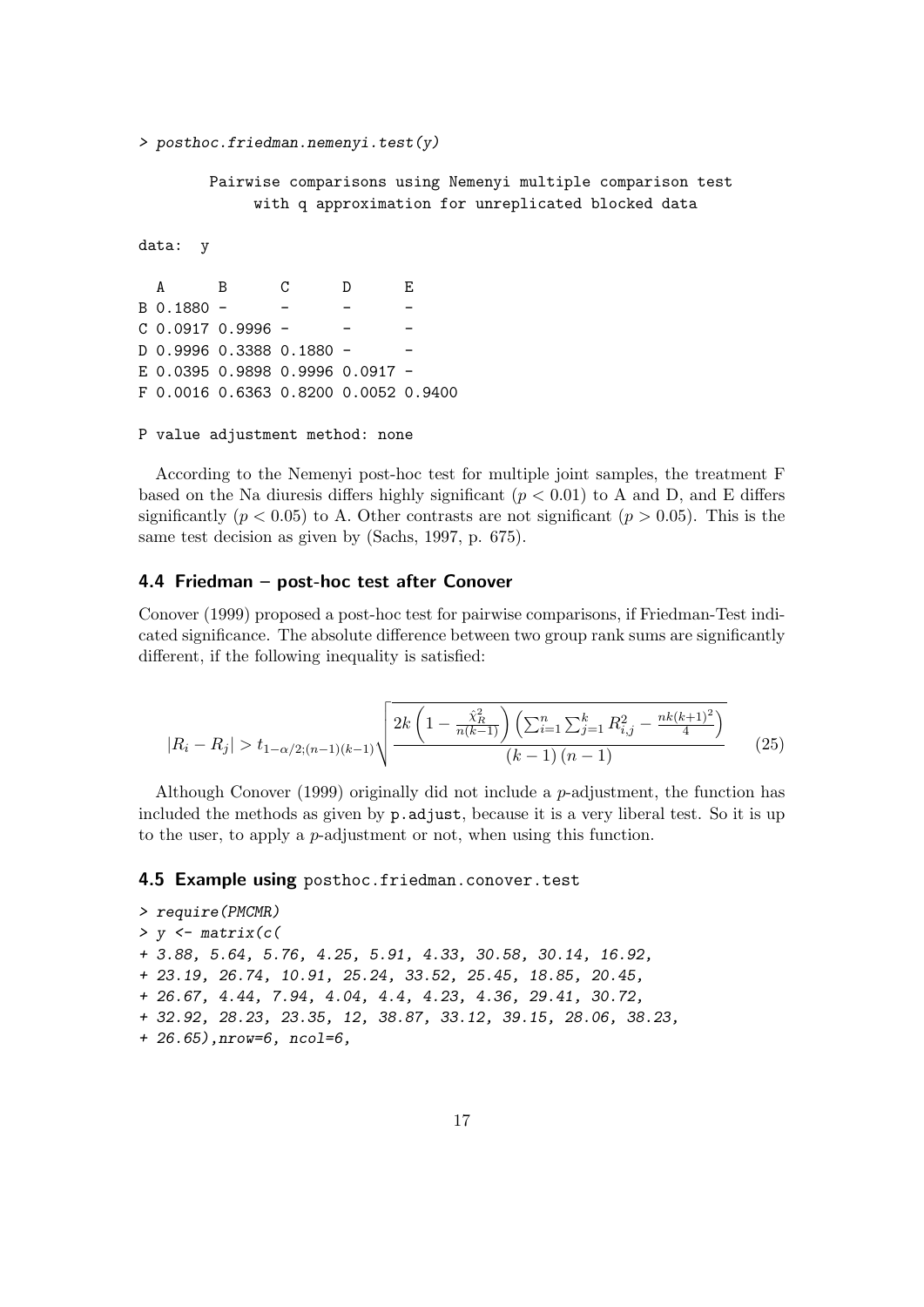$>$  posthoc.friedman.nemenyi.test(y)

Pairwise comparisons using Nemenyi multiple comparison test with q approximation for unreplicated blocked data

```
data: y
```
A B C D E B 0.1880 - - - -  $C$  0.0917 0.9996 -D 0.9996 0.3388 0.1880 -E 0.0395 0.9898 0.9996 0.0917 - F 0.0016 0.6363 0.8200 0.0052 0.9400

P value adjustment method: none

According to the Nemenyi post-hoc test for multiple joint samples, the treatment F based on the Na diuresis differs highly significant ( $p < 0.01$ ) to A and D, and E differs significantly ( $p < 0.05$ ) to A. Other contrasts are not significant ( $p > 0.05$ ). This is the same test decision as given by (Sachs, 1997, p. 675).

#### 4.4 Friedman – post-hoc test after Conover

Conover (1999) proposed a post-hoc test for pairwise comparisons, if Friedman-Test indicated significance. The absolute difference between two group rank sums are significantly different, if the following inequality is satisfied:

$$
|R_i - R_j| > t_{1 - \alpha/2; (n-1)(k-1)} \sqrt{\frac{2k\left(1 - \frac{\hat{\chi}_R^2}{n(k-1)}\right)\left(\sum_{i=1}^n \sum_{j=1}^k R_{i,j}^2 - \frac{nk(k+1)^2}{4}\right)}{(k-1)(n-1)}}\tag{25}
$$

Although Conover (1999) originally did not include a p-adjustment, the function has included the methods as given by p.adjust, because it is a very liberal test. So it is up to the user, to apply a p-adjustment or not, when using this function.

#### 4.5 Example using posthoc.friedman.conover.test

```
> require(PMCMR)
> y < - matrix(c(
+ 3.88, 5.64, 5.76, 4.25, 5.91, 4.33, 30.58, 30.14, 16.92,
+ 23.19, 26.74, 10.91, 25.24, 33.52, 25.45, 18.85, 20.45,
+ 26.67, 4.44, 7.94, 4.04, 4.4, 4.23, 4.36, 29.41, 30.72,
+ 32.92, 28.23, 23.35, 12, 38.87, 33.12, 39.15, 28.06, 38.23,
+ 26.65),nrow=6, ncol=6,
```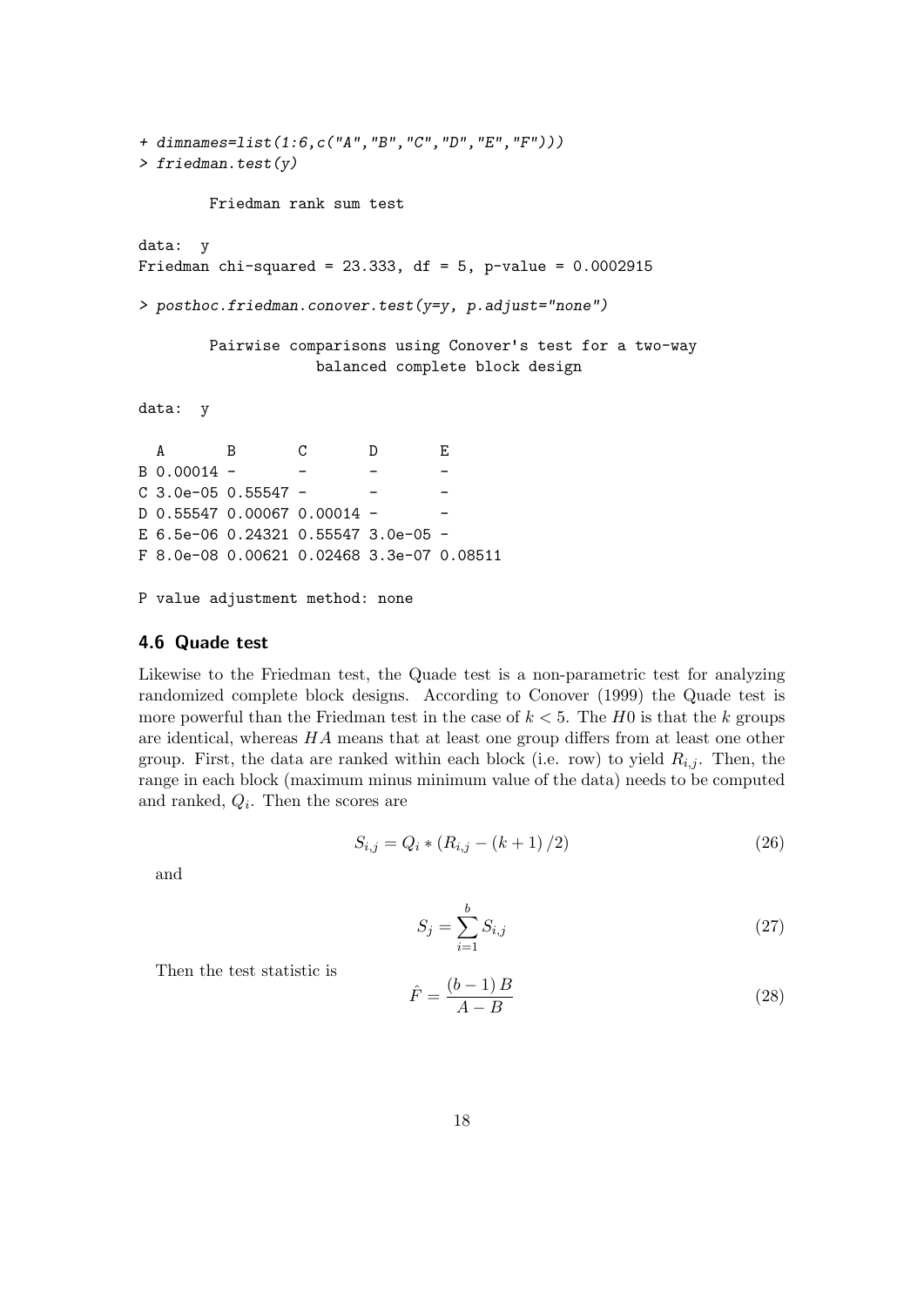```
+ dimnames=list(1:6,c("A","B","C","D","E","F")))
> friedman.test(y)
       Friedman rank sum test
data: y
Friedman chi-squared = 23.333, df = 5, p-value = 0.0002915> posthoc.friedman.conover.test(y=y, p.adjust="none")
       Pairwise comparisons using Conover's test for a two-way
                  balanced complete block design
data: y
  A B C D E
B 0.00014 - - - - -
C 3.0e-05 0.55547 - - - -
D 0.55547 0.00067 0.00014 -
E 6.5e-06 0.24321 0.55547 3.0e-05 -
F 8.0e-08 0.00621 0.02468 3.3e-07 0.08511
```
P value adjustment method: none

#### 4.6 Quade test

Likewise to the Friedman test, the Quade test is a non-parametric test for analyzing randomized complete block designs. According to Conover (1999) the Quade test is more powerful than the Friedman test in the case of  $k < 5$ . The H0 is that the k groups are identical, whereas HA means that at least one group differs from at least one other group. First, the data are ranked within each block (i.e. row) to yield  $R_{i,j}$ . Then, the range in each block (maximum minus minimum value of the data) needs to be computed and ranked,  $Q_i$ . Then the scores are

$$
S_{i,j} = Q_i * (R_{i,j} - (k+1)/2)
$$
\n(26)

and

$$
S_j = \sum_{i=1}^{b} S_{i,j} \tag{27}
$$

Then the test statistic is

$$
\hat{F} = \frac{(b-1)B}{A-B} \tag{28}
$$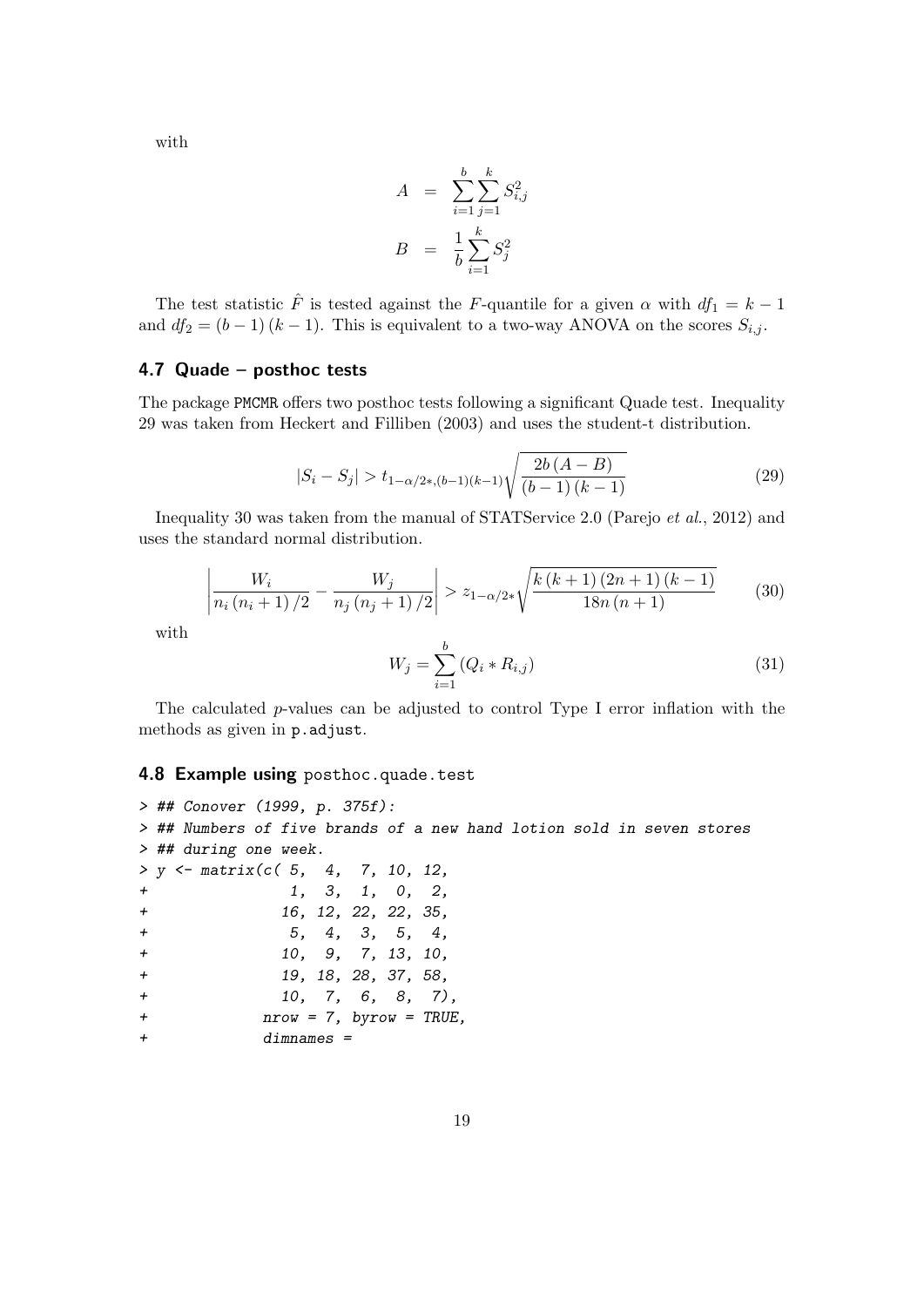with

$$
A = \sum_{i=1}^{b} \sum_{j=1}^{k} S_{i,j}^{2}
$$

$$
B = \frac{1}{b} \sum_{i=1}^{k} S_{j}^{2}
$$

The test statistic  $\hat{F}$  is tested against the F-quantile for a given  $\alpha$  with  $df_1 = k - 1$ and  $df_2 = (b-1) (k-1)$ . This is equivalent to a two-way ANOVA on the scores  $S_{i,j}$ .

#### 4.7 Quade – posthoc tests

The package PMCMR offers two posthoc tests following a significant Quade test. Inequality 29 was taken from Heckert and Filliben (2003) and uses the student-t distribution.

$$
|S_i - S_j| > t_{1 - \alpha/2*, (b-1)(k-1)} \sqrt{\frac{2b(A - B)}{(b - 1)(k - 1)}}\tag{29}
$$

Inequality 30 was taken from the manual of STATService 2.0 (Parejo et al., 2012) and uses the standard normal distribution.

$$
\left| \frac{W_i}{n_i (n_i + 1)/2} - \frac{W_j}{n_j (n_j + 1)/2} \right| > z_{1 - \alpha/2*} \sqrt{\frac{k (k + 1) (2n + 1) (k - 1)}{18n (n + 1)}} \tag{30}
$$

with

$$
W_j = \sum_{i=1}^{b} (Q_i * R_{i,j})
$$
\n(31)

The calculated p-values can be adjusted to control Type I error inflation with the methods as given in p.adjust.

#### 4.8 Example using posthoc.quade.test

```
> ## Conover (1999, p. 375f):
> ## Numbers of five brands of a new hand lotion sold in seven stores
> ## during one week.
> y \le matrix(c( 5, 4, 7, 10, 12,
+ 1, 3, 1, 0, 2,
+ 16, 12, 22, 22, 35,
+ 5, 4, 3, 5, 4,
+ 10, 9, 7, 13, 10,
+ 19, 18, 28, 37, 58,
+ 10, 7, 6, 8, 7),
+ nrow = 7, byrow = TRUE,
+ dimnames =
```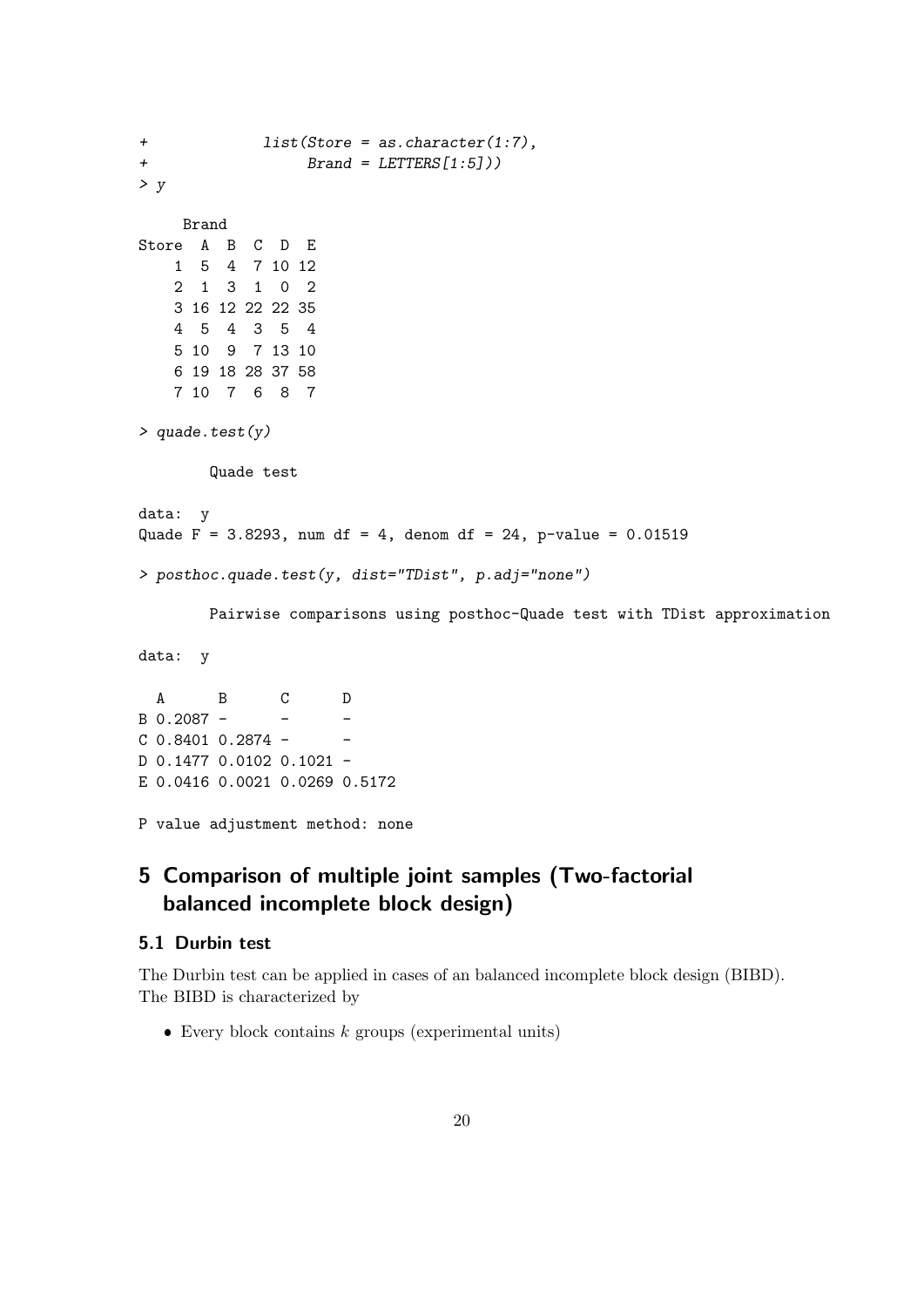```
+ list(Store = as.character(1:7),
+ Brand = LETTERS[1:5]))
> yBrand
Store A B C D E
   1 5 4 7 10 12
   2 1 3 1 0 2
   3 16 12 22 22 35
   4 5 4 3 5 4
   5 10 9 7 13 10
   6 19 18 28 37 58
   7 10 7 6 8 7
> quade.test(y)
       Quade test
data: y
Quade F = 3.8293, num df = 4, denom df = 24, p-value = 0.01519> posthoc.quade.test(y, dist="TDist", p.adj="none")
       Pairwise comparisons using posthoc-Quade test with TDist approximation
data: y
  A B C D
B \ 0.2087 - - - - -C 0.8401 0.2874 - -
D 0.1477 0.0102 0.1021 -
E 0.0416 0.0021 0.0269 0.5172
```
P value adjustment method: none

# 5 Comparison of multiple joint samples (Two-factorial balanced incomplete block design)

### 5.1 Durbin test

The Durbin test can be applied in cases of an balanced incomplete block design (BIBD). The BIBD is characterized by

 $\bullet$  Every block contains  $k$  groups (experimental units)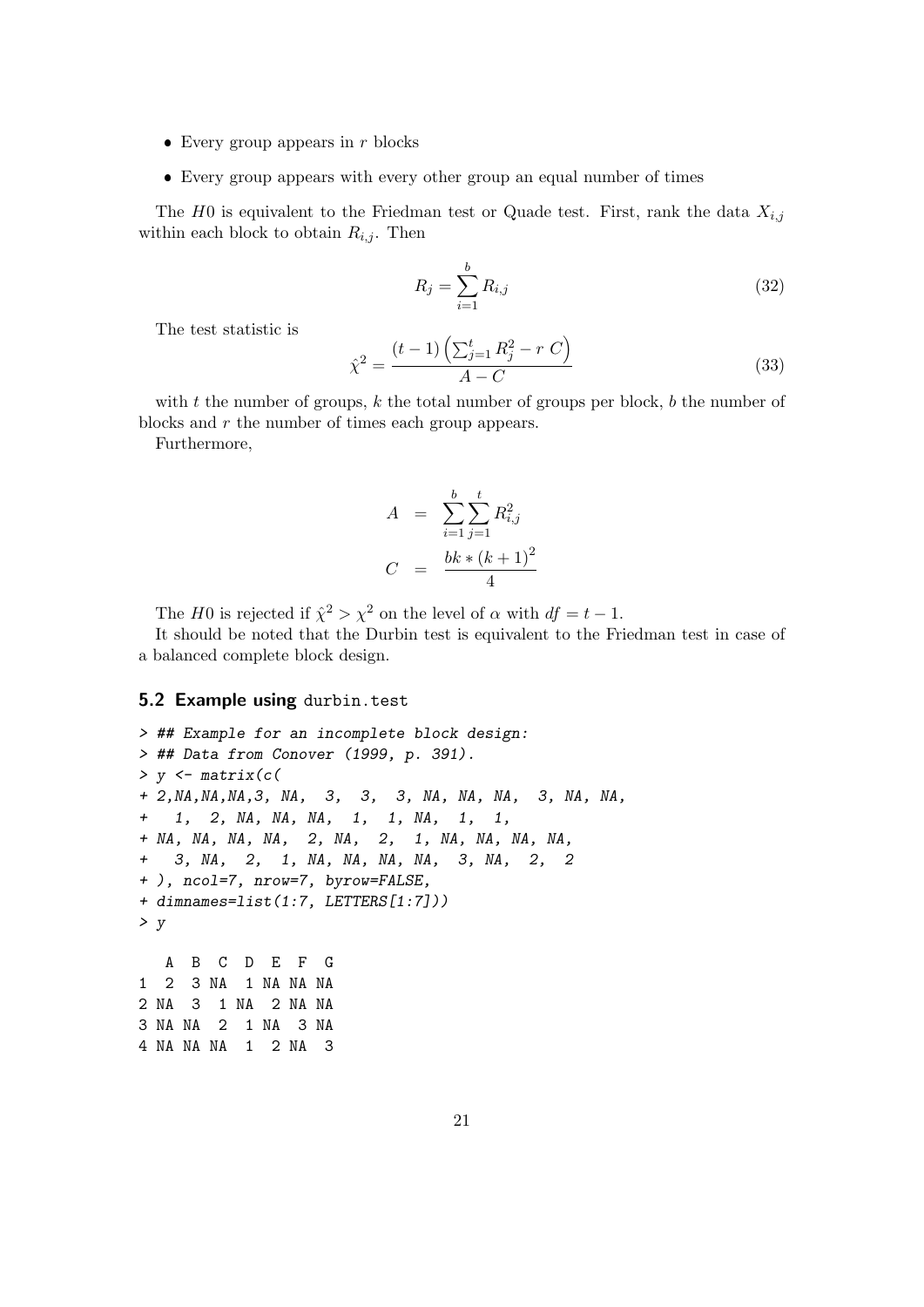- $\bullet$  Every group appears in r blocks
- Every group appears with every other group an equal number of times

The H0 is equivalent to the Friedman test or Quade test. First, rank the data  $X_{i,j}$ within each block to obtain  $R_{i,j}$ . Then

$$
R_j = \sum_{i=1}^{b} R_{i,j} \tag{32}
$$

The test statistic is

$$
\hat{\chi}^2 = \frac{(t-1)\left(\sum_{j=1}^t R_j^2 - r\ C\right)}{A - C} \tag{33}
$$

with  $t$  the number of groups,  $k$  the total number of groups per block,  $b$  the number of blocks and r the number of times each group appears.

Furthermore,

$$
A = \sum_{i=1}^{b} \sum_{j=1}^{t} R_{i,j}^{2}
$$
  

$$
C = \frac{bk * (k+1)^{2}}{4}
$$

The H0 is rejected if  $\hat{\chi}^2 > \chi^2$  on the level of  $\alpha$  with  $df = t - 1$ .

It should be noted that the Durbin test is equivalent to the Friedman test in case of a balanced complete block design.

#### 5.2 Example using durbin.test

> ## Example for an incomplete block design: > ## Data from Conover (1999, p. 391).  $> y < -$  matrix(c( + 2,NA,NA,NA,3, NA, 3, 3, 3, NA, NA, NA, 3, NA, NA, + 1, 2, NA, NA, NA, 1, 1, NA, 1, 1, + NA, NA, NA, NA, 2, NA, 2, 1, NA, NA, NA, NA, + 3, NA, 2, 1, NA, NA, NA, NA, 3, NA, 2, 2 + ), ncol=7, nrow=7, byrow=FALSE, + dimnames=list(1:7, LETTERS[1:7]))  $> y$ A B C D E F G 1 2 3 NA 1 NA NA NA 2 NA 3 1 NA 2 NA NA 3 NA NA 2 1 NA 3 NA 4 NA NA NA 1 2 NA 3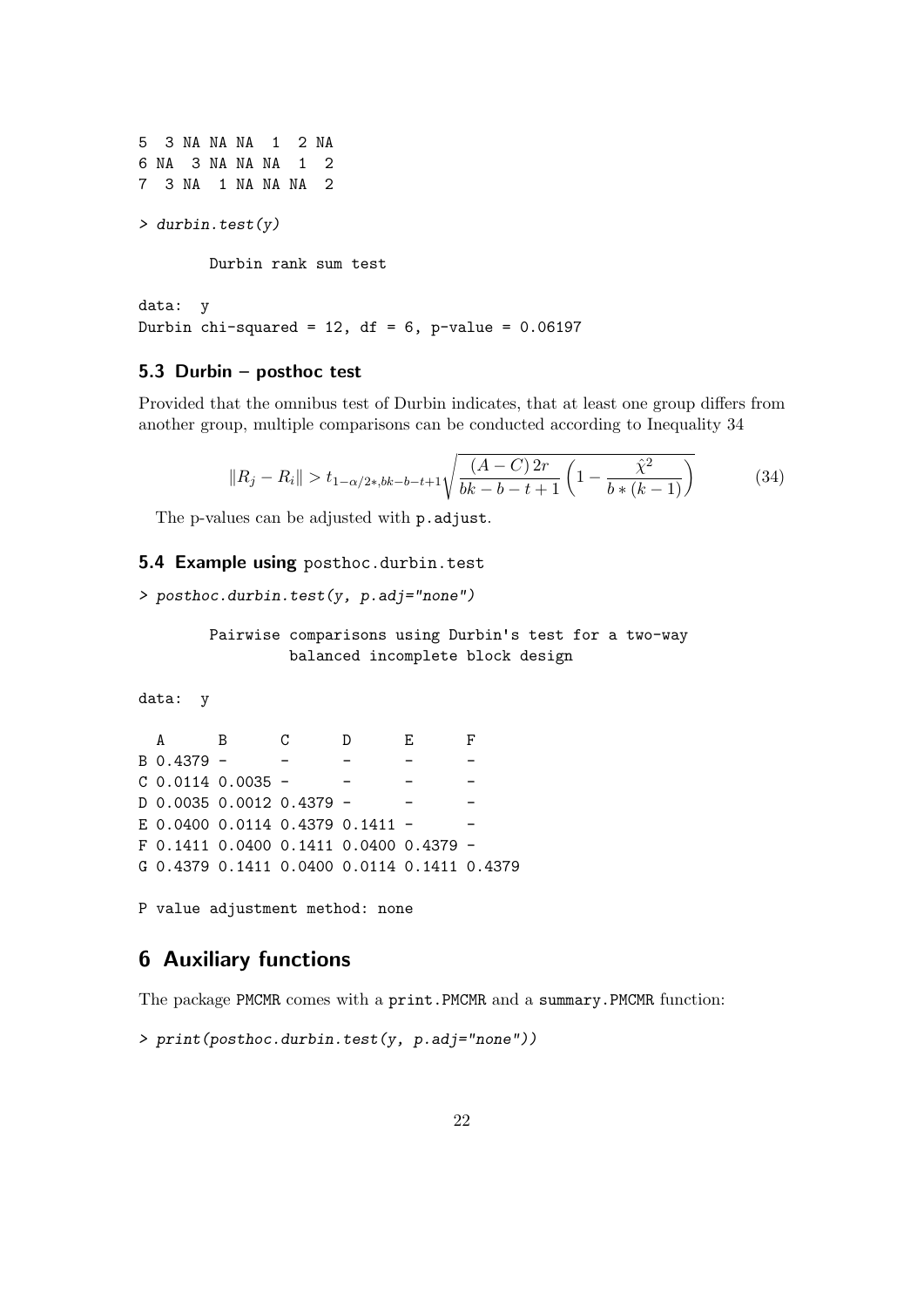5 3 NA NA NA 1 2 NA 6 NA 3 NA NA NA 1 2 7 3 NA 1 NA NA NA 2 > durbin.test(y) Durbin rank sum test

data: y Durbin chi-squared = 12, df =  $6$ , p-value = 0.06197

#### 5.3 Durbin – posthoc test

Provided that the omnibus test of Durbin indicates, that at least one group differs from another group, multiple comparisons can be conducted according to Inequality 34

$$
||R_j - R_i|| > t_{1-\alpha/2*,bk-b-t+1}\sqrt{\frac{(A-C) 2r}{bk-b-t+1} \left(1 - \frac{\hat{\chi}^2}{b*(k-1)}\right)}
$$
(34)

The p-values can be adjusted with p.adjust.

#### 5.4 Example using posthoc.durbin.test

```
> posthoc.durbin.test(y, p.adj="none")
```

```
Pairwise comparisons using Durbin's test for a two-way
         balanced incomplete block design
```
data: y

A B C D E F B 0.4379 - - - - - - $C$  0.0114 0.0035 - - - -D 0.0035 0.0012 0.4379 - -E 0.0400 0.0114 0.4379 0.1411 -  $-$ F 0.1411 0.0400 0.1411 0.0400 0.4379 - G 0.4379 0.1411 0.0400 0.0114 0.1411 0.4379

P value adjustment method: none

# 6 Auxiliary functions

The package PMCMR comes with a print.PMCMR and a summary.PMCMR function:

```
> print(posthoc.durbin.test(y, p.adj="none"))
```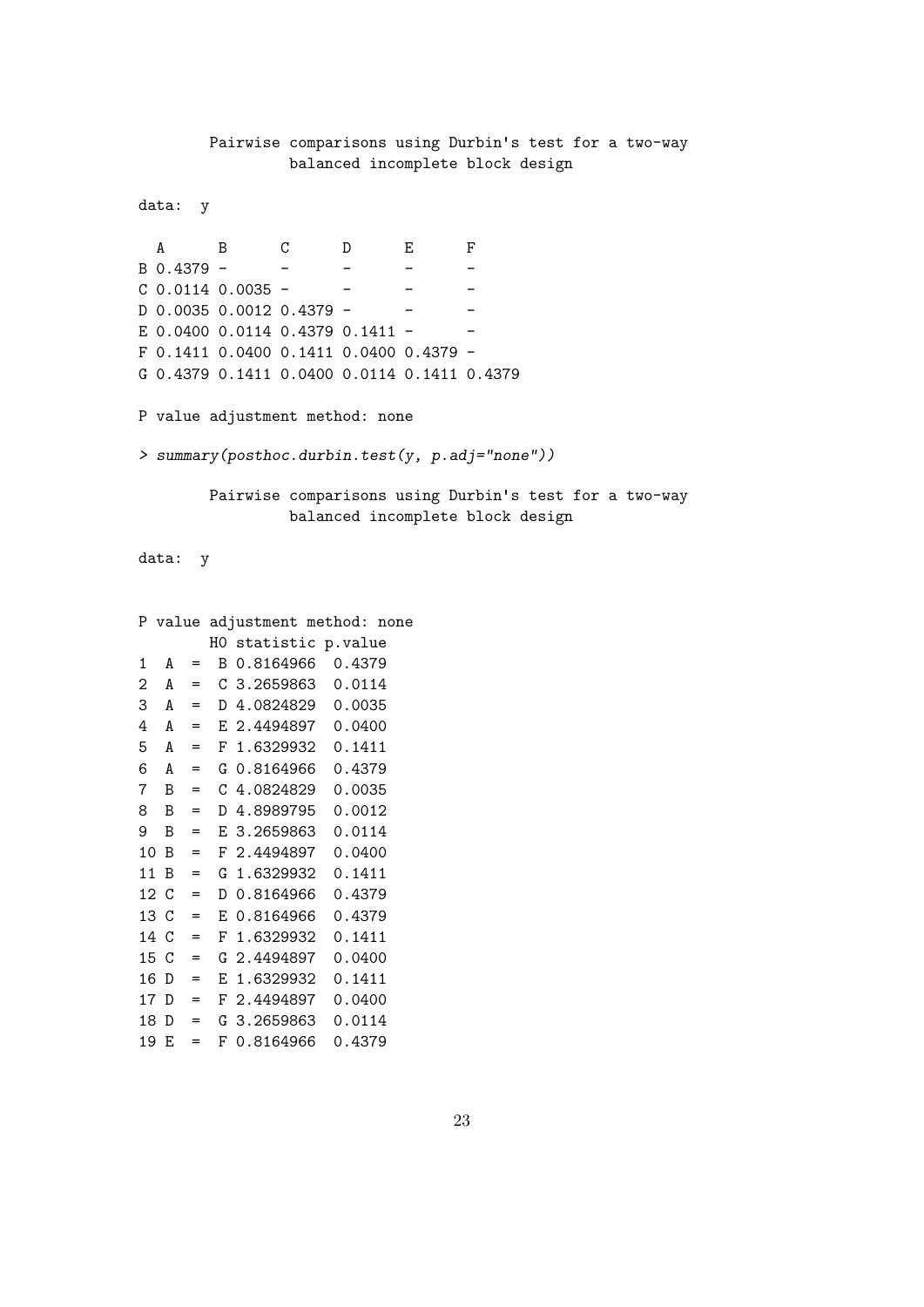Pairwise comparisons using Durbin's test for a two-way balanced incomplete block design data: y A B C D E F B 0.4379 - - - - -  $C$  0.0114 0.0035 - - - - -D 0.0035 0.0012 0.4379 - - - -E 0.0400 0.0114 0.4379 0.1411 -F 0.1411 0.0400 0.1411 0.0400 0.4379 - G 0.4379 0.1411 0.0400 0.0114 0.1411 0.4379 P value adjustment method: none > summary(posthoc.durbin.test(y, p.adj="none")) Pairwise comparisons using Durbin's test for a two-way balanced incomplete block design data: y P value adjustment method: none H0 statistic p.value 1 A = B 0.8164966 0.4379 2 A = C 3.2659863 0.0114 3 A = D 4.0824829 0.0035 4 A = E 2.4494897 0.0400 5 A = F 1.6329932 0.1411 6 A = G 0.8164966 0.4379 7 B = C 4.0824829 0.0035 8 B = D 4.8989795 0.0012 9 B = E 3.2659863 0.0114

10 B = F 2.4494897 0.0400 11 B = G 1.6329932 0.1411 12 C = D 0.8164966 0.4379 13 C = E 0.8164966 0.4379 14 C = F 1.6329932 0.1411 15 C = G 2.4494897 0.0400 16 D = E 1.6329932 0.1411 17 D = F 2.4494897 0.0400 18 D = G 3.2659863 0.0114 19 E = F 0.8164966 0.4379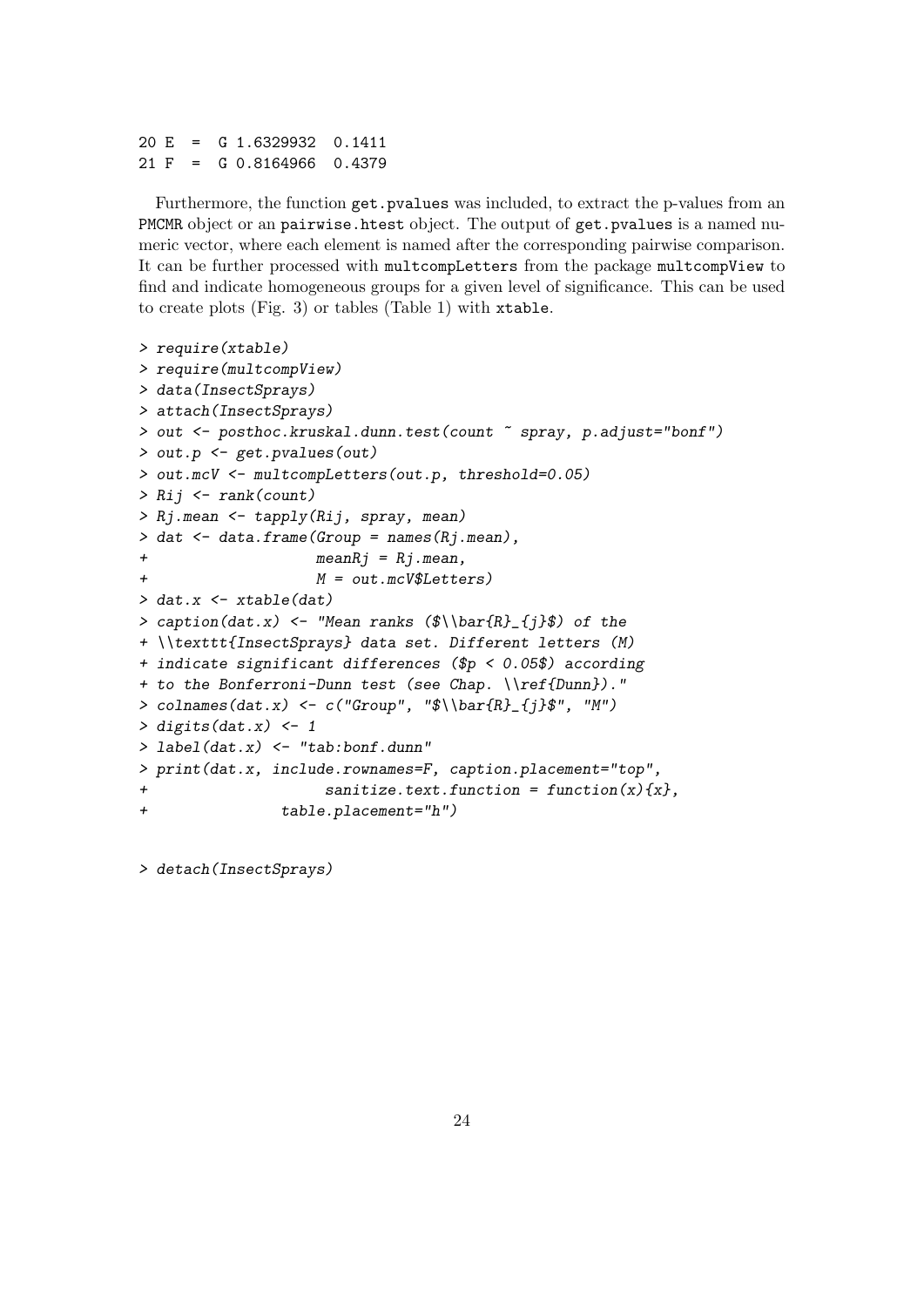```
20 E = G 1.6329932 0.1411
21 F = G 0.8164966 0.4379
```
Furthermore, the function get.pvalues was included, to extract the p-values from an PMCMR object or an pairwise.htest object. The output of get.pvalues is a named numeric vector, where each element is named after the corresponding pairwise comparison. It can be further processed with multcompLetters from the package multcompView to find and indicate homogeneous groups for a given level of significance. This can be used to create plots (Fig. 3) or tables (Table 1) with xtable.

```
> require(xtable)
> require(multcompView)
> data(InsectSprays)
> attach(InsectSprays)
> out <- posthoc.kruskal.dunn.test(count ~ spray, p.adjust="bonf")
> out.p <- get.pvalues(out)
> out.mcV <- multcompLetters(out.p, threshold=0.05)
> Rij <- rank(count)
> Rj.mean <- tapply(Rij, spray, mean)
> dat \leq data.frame(Group = names(Rj.mean),
+ meanRj = Rj.mean,
+ M = out.mcV$Letters)
> dat.x \leq xtable(dat)
> caption(dat.x) <- "Mean ranks (\hat{R}_{j}(j)\ of the
+ \\texttt{InsectSprays} data set. Different letters (M)
+ indicate significant differences ($p < 0.05$) according
+ to the Bonferroni-Dunn test (see Chap. \\ref{Dunn})."
> colnames(dat.x) <- c("Group", "$\\bar{R}_{j}$", "M")
> digits(dat.x) <- 1
> label(dat.x) <- "tab:bonf.dunn"
> print(dat.x, include.rownames=F, caption.placement="top",
+ sanitize.text.function = function(x){x},
+ table.placement="h")
```
> detach(InsectSprays)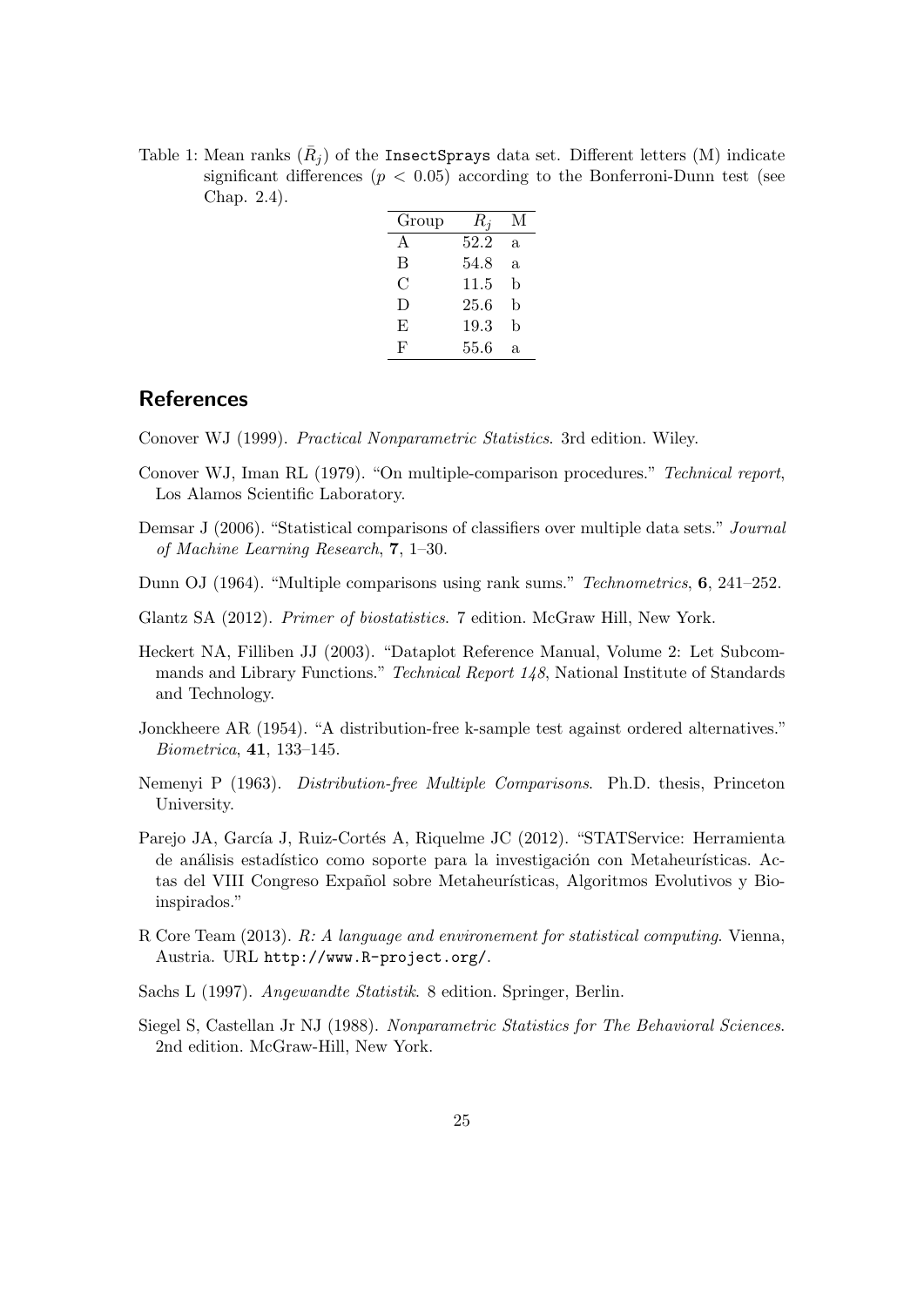Table 1: Mean ranks  $(\bar{R}_j)$  of the InsectSprays data set. Different letters (M) indicate significant differences ( $p < 0.05$ ) according to the Bonferroni-Dunn test (see Chap. 2.4).

| Group | $R_i$ | М  |
|-------|-------|----|
| A     | 52.2  | a. |
| В     | 54.8  | a. |
| С     | 11.5  | b  |
| D     | 25.6  | b  |
| E     | 19.3  | b  |
| F     | 55.6  | a. |

## References

Conover WJ (1999). Practical Nonparametric Statistics. 3rd edition. Wiley.

- Conover WJ, Iman RL (1979). "On multiple-comparison procedures." Technical report, Los Alamos Scientific Laboratory.
- Demsar J (2006). "Statistical comparisons of classifiers over multiple data sets." Journal of Machine Learning Research, 7, 1–30.
- Dunn OJ (1964). "Multiple comparisons using rank sums." Technometrics, 6, 241–252.
- Glantz SA (2012). Primer of biostatistics. 7 edition. McGraw Hill, New York.
- Heckert NA, Filliben JJ (2003). "Dataplot Reference Manual, Volume 2: Let Subcommands and Library Functions." Technical Report 148, National Institute of Standards and Technology.
- Jonckheere AR (1954). "A distribution-free k-sample test against ordered alternatives." Biometrica, 41, 133–145.
- Nemenyi P (1963). Distribution-free Multiple Comparisons. Ph.D. thesis, Princeton University.
- Parejo JA, García J, Ruiz-Cortés A, Riquelme JC (2012). "STATService: Herramienta de análisis estadístico como soporte para la investigación con Metaheurísticas. Actas del VIII Congreso Expañol sobre Metaheurísticas, Algoritmos Evolutivos y Bioinspirados."
- R Core Team (2013). R: A language and environement for statistical computing. Vienna, Austria. URL http://www.R-project.org/.
- Sachs L (1997). Angewandte Statistik. 8 edition. Springer, Berlin.
- Siegel S, Castellan Jr NJ (1988). Nonparametric Statistics for The Behavioral Sciences. 2nd edition. McGraw-Hill, New York.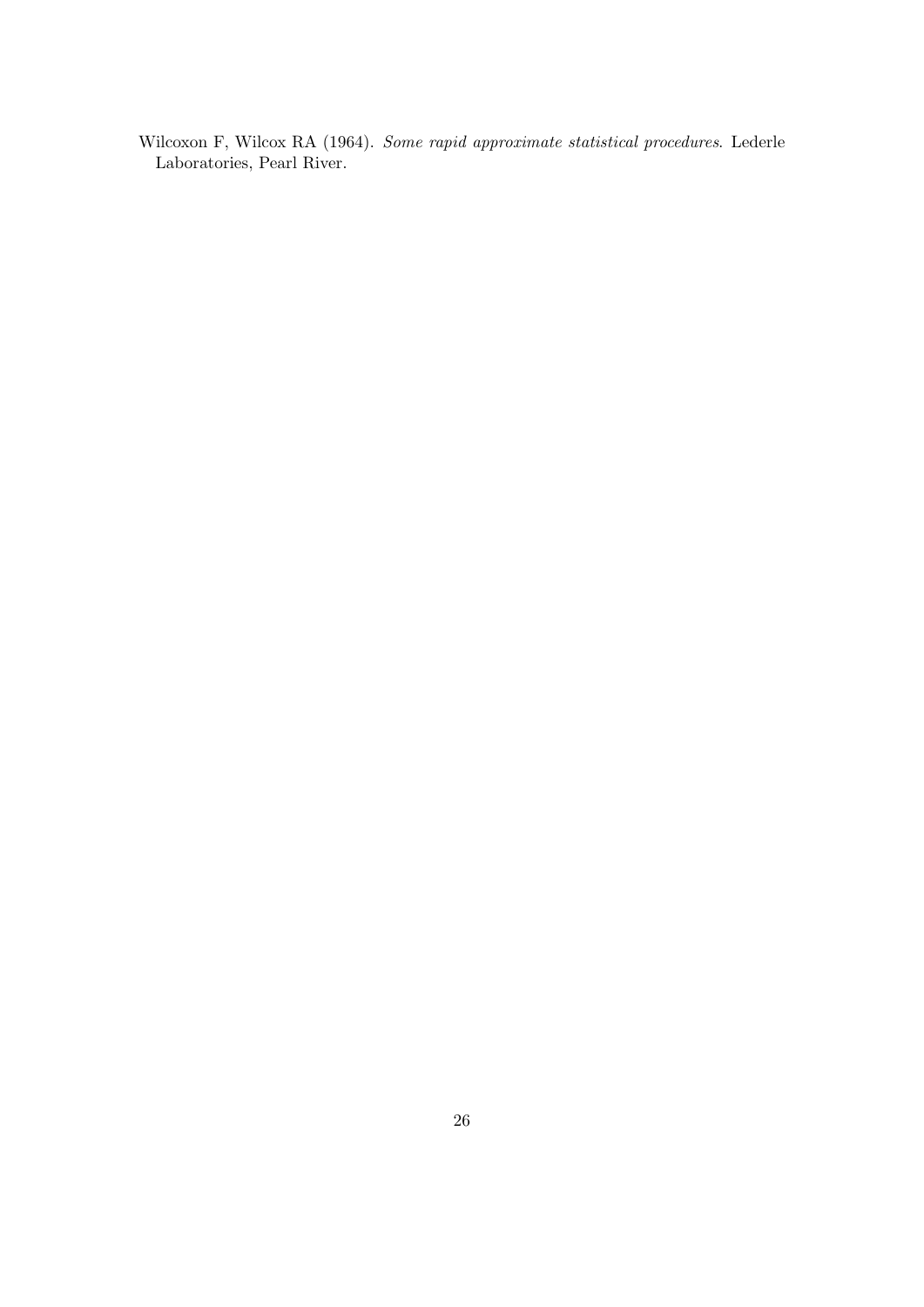Wilcoxon F, Wilcox RA (1964). Some rapid approximate statistical procedures. Lederle Laboratories, Pearl River.